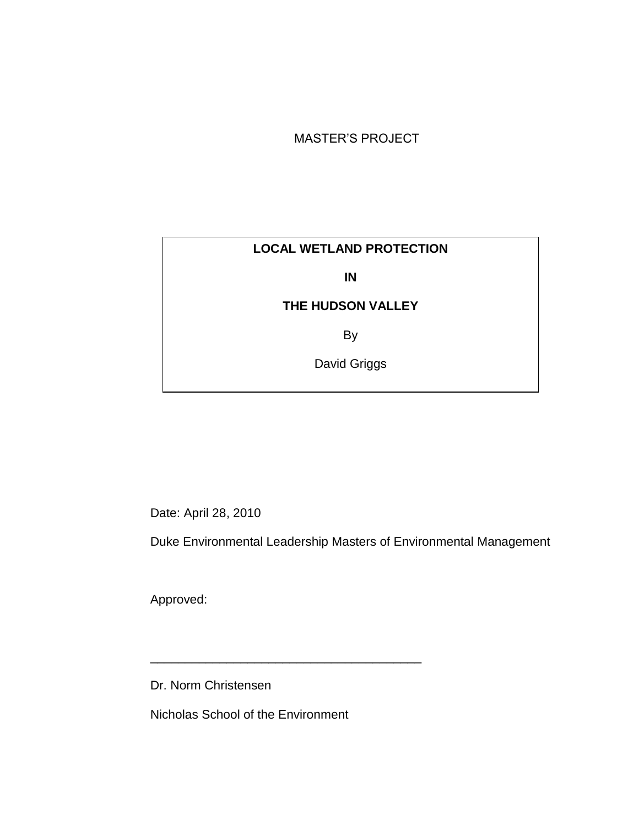#### MASTER'S PROJECT

#### **LOCAL WETLAND PROTECTION**

**IN**

### **THE HUDSON VALLEY**

By

David Griggs

Date: April 28, 2010

Duke Environmental Leadership Masters of Environmental Management

Approved:

Dr. Norm Christensen

Nicholas School of the Environment

\_\_\_\_\_\_\_\_\_\_\_\_\_\_\_\_\_\_\_\_\_\_\_\_\_\_\_\_\_\_\_\_\_\_\_\_\_\_\_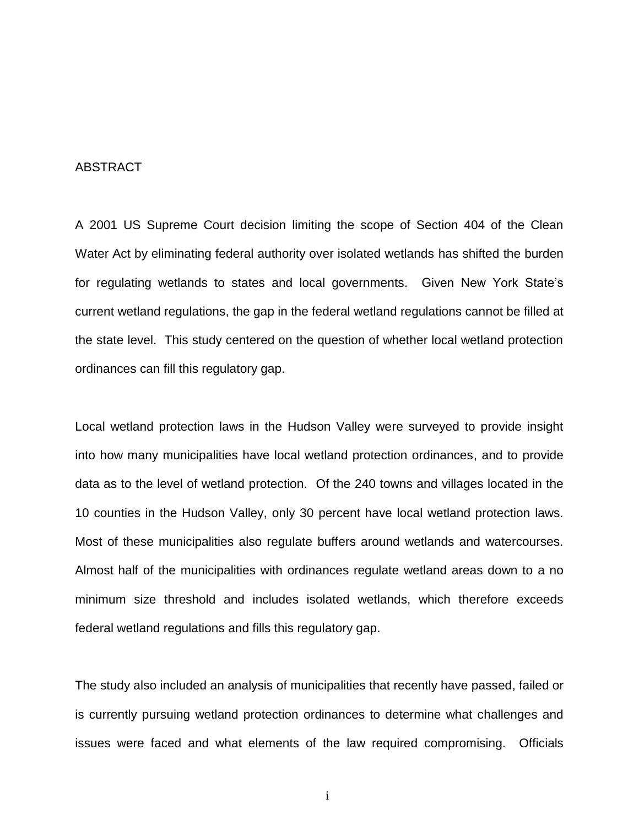#### ABSTRACT

A 2001 US Supreme Court decision limiting the scope of Section 404 of the Clean Water Act by eliminating federal authority over isolated wetlands has shifted the burden for regulating wetlands to states and local governments. Given New York State's current wetland regulations, the gap in the federal wetland regulations cannot be filled at the state level. This study centered on the question of whether local wetland protection ordinances can fill this regulatory gap.

Local wetland protection laws in the Hudson Valley were surveyed to provide insight into how many municipalities have local wetland protection ordinances, and to provide data as to the level of wetland protection. Of the 240 towns and villages located in the 10 counties in the Hudson Valley, only 30 percent have local wetland protection laws. Most of these municipalities also regulate buffers around wetlands and watercourses. Almost half of the municipalities with ordinances regulate wetland areas down to a no minimum size threshold and includes isolated wetlands, which therefore exceeds federal wetland regulations and fills this regulatory gap.

The study also included an analysis of municipalities that recently have passed, failed or is currently pursuing wetland protection ordinances to determine what challenges and issues were faced and what elements of the law required compromising. Officials

i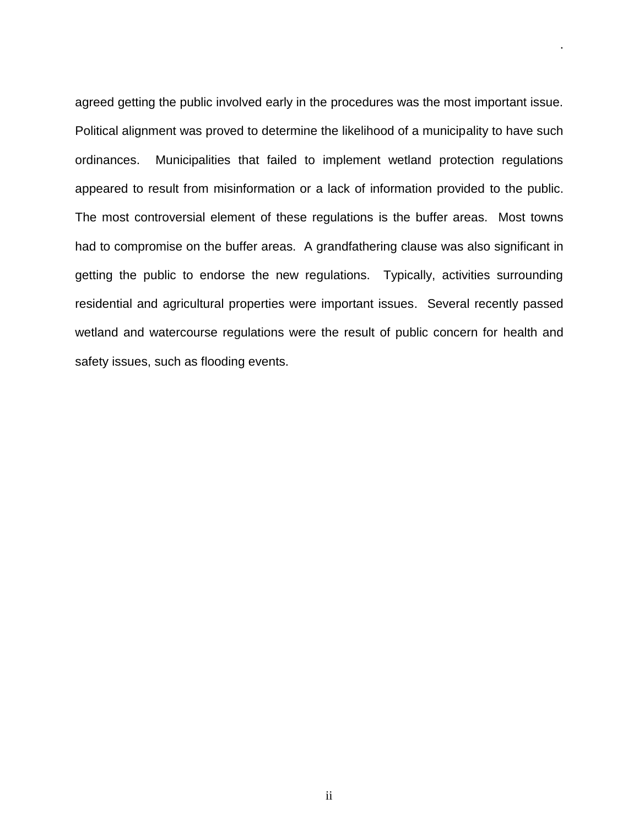agreed getting the public involved early in the procedures was the most important issue. Political alignment was proved to determine the likelihood of a municipality to have such ordinances. Municipalities that failed to implement wetland protection regulations appeared to result from misinformation or a lack of information provided to the public. The most controversial element of these regulations is the buffer areas. Most towns had to compromise on the buffer areas. A grandfathering clause was also significant in getting the public to endorse the new regulations. Typically, activities surrounding residential and agricultural properties were important issues. Several recently passed wetland and watercourse regulations were the result of public concern for health and safety issues, such as flooding events.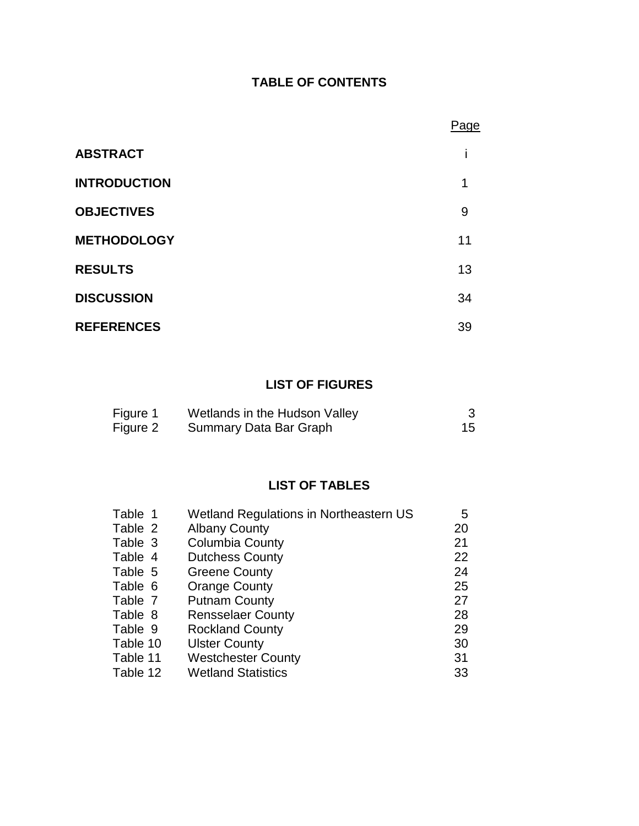### **TABLE OF CONTENTS**

|                     | Page |
|---------------------|------|
| <b>ABSTRACT</b>     |      |
| <b>INTRODUCTION</b> | 1    |
| <b>OBJECTIVES</b>   | 9    |
| <b>METHODOLOGY</b>  | 11   |
| <b>RESULTS</b>      | 13   |
| <b>DISCUSSION</b>   | 34   |
| <b>REFERENCES</b>   | 39   |

### **LIST OF FIGURES**

| Figure 1 | Wetlands in the Hudson Valley |  |
|----------|-------------------------------|--|
| Figure 2 | Summary Data Bar Graph        |  |

### **LIST OF TABLES**

| Table 1  | Wetland Regulations in Northeastern US | 5  |
|----------|----------------------------------------|----|
| Table 2  | <b>Albany County</b>                   | 20 |
| Table 3  | <b>Columbia County</b>                 | 21 |
| Table 4  | <b>Dutchess County</b>                 | 22 |
| Table 5  | <b>Greene County</b>                   | 24 |
| Table 6  | <b>Orange County</b>                   | 25 |
| Table 7  | <b>Putnam County</b>                   | 27 |
| Table 8  | <b>Rensselaer County</b>               | 28 |
| Table 9  | <b>Rockland County</b>                 | 29 |
| Table 10 | <b>Ulster County</b>                   | 30 |
| Table 11 | <b>Westchester County</b>              | 31 |
| Table 12 | <b>Wetland Statistics</b>              | 33 |
|          |                                        |    |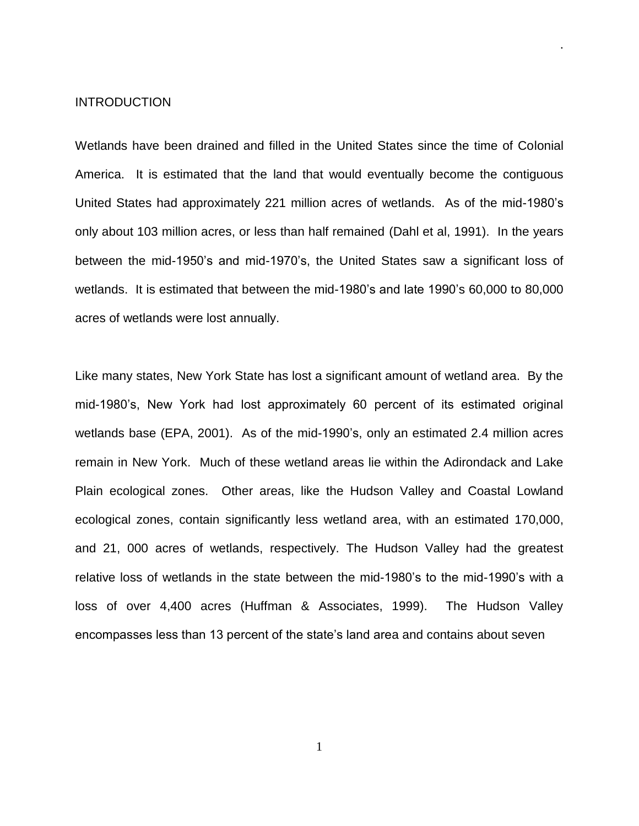#### INTRODUCTION

Wetlands have been drained and filled in the United States since the time of Colonial America. It is estimated that the land that would eventually become the contiguous United States had approximately 221 million acres of wetlands. As of the mid-1980's only about 103 million acres, or less than half remained (Dahl et al, 1991). In the years between the mid-1950's and mid-1970's, the United States saw a significant loss of wetlands. It is estimated that between the mid-1980's and late 1990's 60,000 to 80,000 acres of wetlands were lost annually.

.

Like many states, New York State has lost a significant amount of wetland area. By the mid-1980's, New York had lost approximately 60 percent of its estimated original wetlands base (EPA, 2001). As of the mid-1990's, only an estimated 2.4 million acres remain in New York. Much of these wetland areas lie within the Adirondack and Lake Plain ecological zones. Other areas, like the Hudson Valley and Coastal Lowland ecological zones, contain significantly less wetland area, with an estimated 170,000, and 21, 000 acres of wetlands, respectively. The Hudson Valley had the greatest relative loss of wetlands in the state between the mid-1980's to the mid-1990's with a loss of over 4,400 acres (Huffman & Associates, 1999). The Hudson Valley encompasses less than 13 percent of the state's land area and contains about seven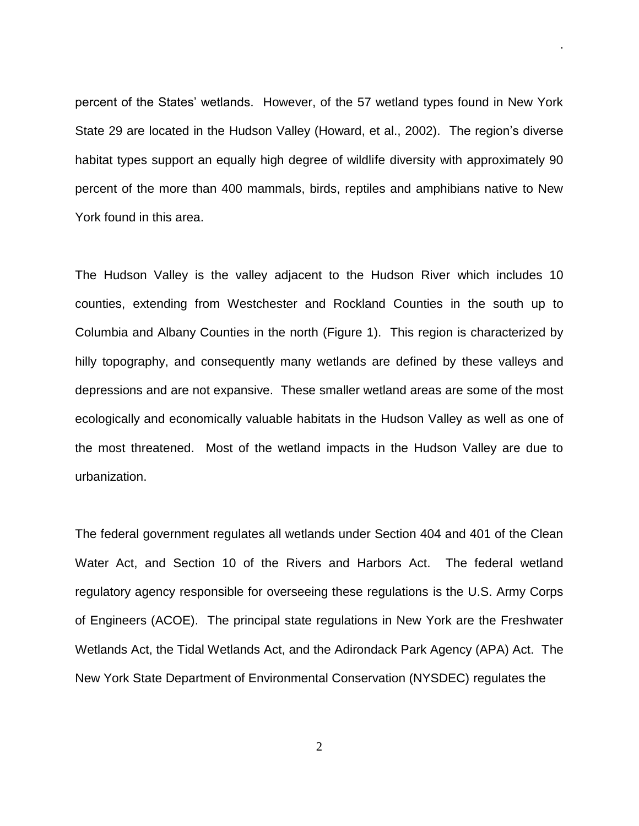percent of the States' wetlands. However, of the 57 wetland types found in New York State 29 are located in the Hudson Valley (Howard, et al., 2002). The region's diverse habitat types support an equally high degree of wildlife diversity with approximately 90 percent of the more than 400 mammals, birds, reptiles and amphibians native to New York found in this area.

.

The Hudson Valley is the valley adjacent to the Hudson River which includes 10 counties, extending from Westchester and Rockland Counties in the south up to Columbia and Albany Counties in the north (Figure 1). This region is characterized by hilly topography, and consequently many wetlands are defined by these valleys and depressions and are not expansive. These smaller wetland areas are some of the most ecologically and economically valuable habitats in the Hudson Valley as well as one of the most threatened. Most of the wetland impacts in the Hudson Valley are due to urbanization.

The federal government regulates all wetlands under Section 404 and 401 of the Clean Water Act, and Section 10 of the Rivers and Harbors Act. The federal wetland regulatory agency responsible for overseeing these regulations is the U.S. Army Corps of Engineers (ACOE). The principal state regulations in New York are the Freshwater Wetlands Act, the Tidal Wetlands Act, and the Adirondack Park Agency (APA) Act. The New York State Department of Environmental Conservation (NYSDEC) regulates the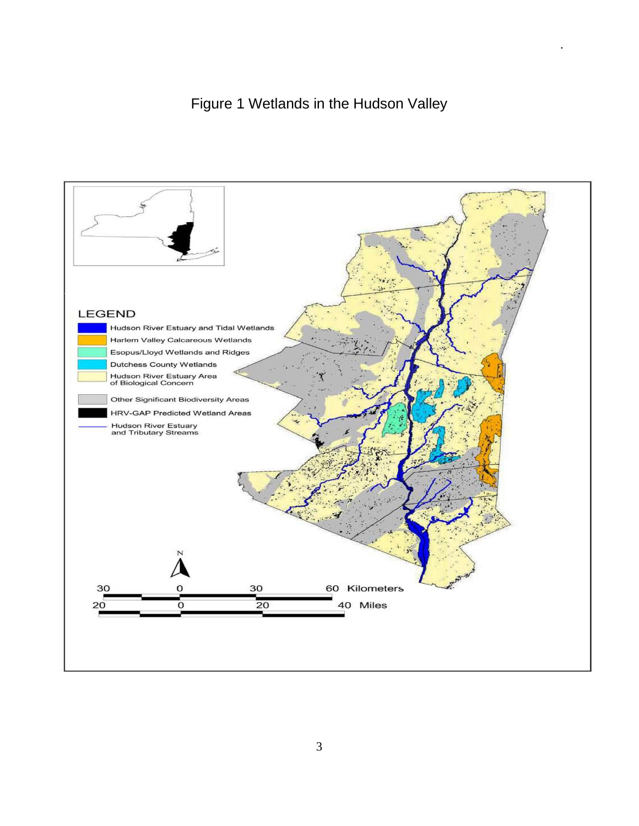# Figure 1 Wetlands in the Hudson Valley

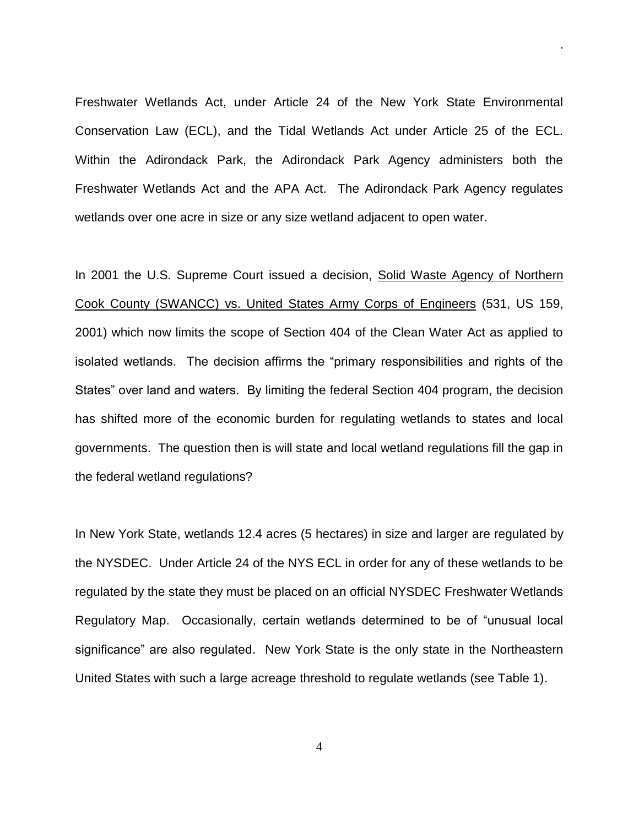Freshwater Wetlands Act, under Article 24 of the New York State Environmental Conservation Law (ECL), and the Tidal Wetlands Act under Article 25 of the ECL. Within the Adirondack Park, the Adirondack Park Agency administers both the Freshwater Wetlands Act and the APA Act. The Adirondack Park Agency regulates wetlands over one acre in size or any size wetland adjacent to open water.

.

In 2001 the U.S. Supreme Court issued a decision, Solid Waste Agency of Northern Cook County (SWANCC) vs. United States Army Corps of Engineers (531, US 159, 2001) which now limits the scope of Section 404 of the Clean Water Act as applied to isolated wetlands. The decision affirms the "primary responsibilities and rights of the States" over land and waters. By limiting the federal Section 404 program, the decision has shifted more of the economic burden for regulating wetlands to states and local governments. The question then is will state and local wetland regulations fill the gap in the federal wetland regulations?

In New York State, wetlands 12.4 acres (5 hectares) in size and larger are regulated by the NYSDEC. Under Article 24 of the NYS ECL in order for any of these wetlands to be regulated by the state they must be placed on an official NYSDEC Freshwater Wetlands Regulatory Map. Occasionally, certain wetlands determined to be of "unusual local significance" are also regulated. New York State is the only state in the Northeastern United States with such a large acreage threshold to regulate wetlands (see Table 1).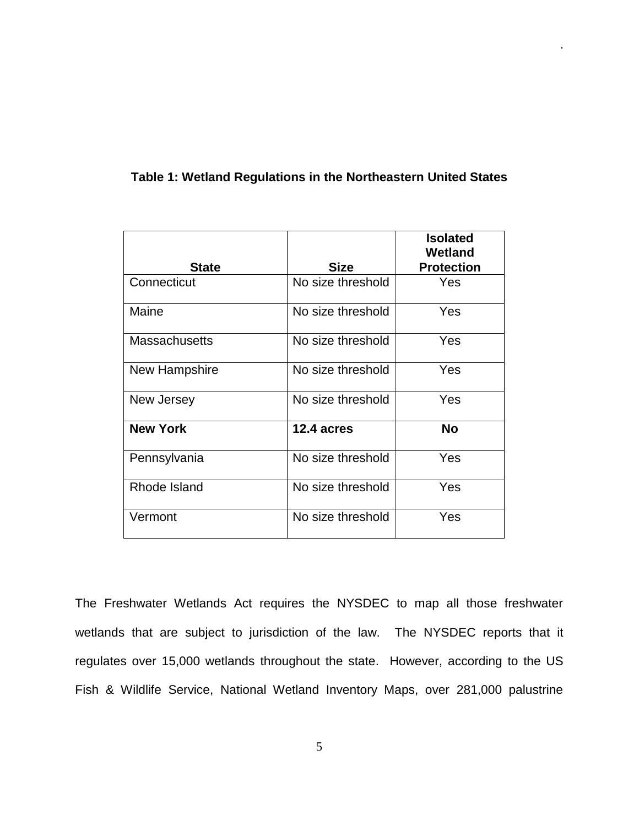| <b>State</b>         | <b>Size</b>       | <b>Isolated</b><br>Wetland<br><b>Protection</b> |
|----------------------|-------------------|-------------------------------------------------|
| Connecticut          | No size threshold | Yes                                             |
| Maine                | No size threshold | Yes                                             |
| <b>Massachusetts</b> | No size threshold | Yes                                             |
| New Hampshire        | No size threshold | Yes                                             |
| New Jersey           | No size threshold | Yes                                             |
| <b>New York</b>      | 12.4 acres        | <b>No</b>                                       |
| Pennsylvania         | No size threshold | Yes                                             |
| Rhode Island         | No size threshold | Yes                                             |
| Vermont              | No size threshold | Yes                                             |

#### **Table 1: Wetland Regulations in the Northeastern United States**

.

The Freshwater Wetlands Act requires the NYSDEC to map all those freshwater wetlands that are subject to jurisdiction of the law. The NYSDEC reports that it regulates over 15,000 wetlands throughout the state. However, according to the US Fish & Wildlife Service, National Wetland Inventory Maps, over 281,000 palustrine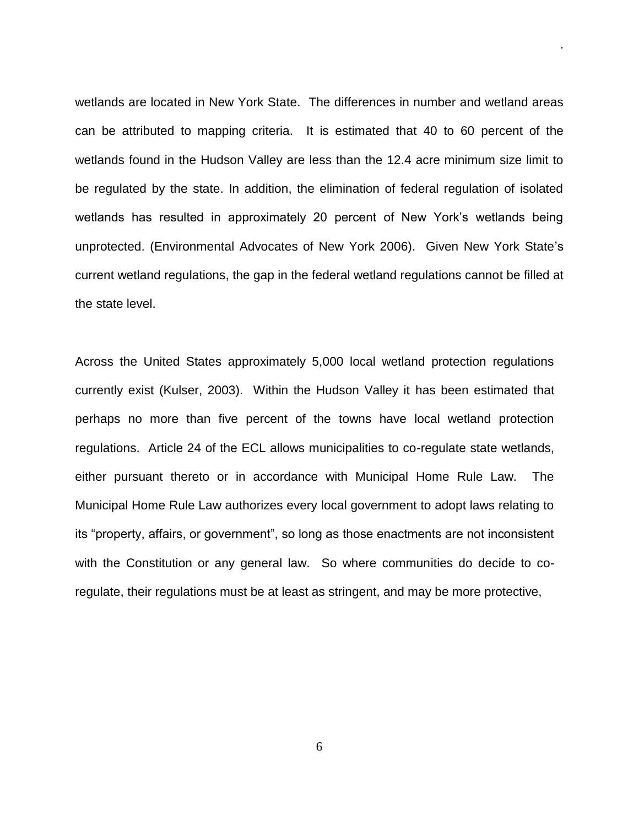wetlands are located in New York State. The differences in number and wetland areas can be attributed to mapping criteria. It is estimated that 40 to 60 percent of the wetlands found in the Hudson Valley are less than the 12.4 acre minimum size limit to be regulated by the state. In addition, the elimination of federal regulation of isolated wetlands has resulted in approximately 20 percent of New York's wetlands being unprotected. (Environmental Advocates of New York 2006). Given New York State's current wetland regulations, the gap in the federal wetland regulations cannot be filled at the state level.

.

Across the United States approximately 5,000 local wetland protection regulations currently exist (Kulser, 2003). Within the Hudson Valley it has been estimated that perhaps no more than five percent of the towns have local wetland protection regulations. Article 24 of the ECL allows municipalities to co-regulate state wetlands, either pursuant thereto or in accordance with Municipal Home Rule Law. The Municipal Home Rule Law authorizes every local government to adopt laws relating to its "property, affairs, or government", so long as those enactments are not inconsistent with the Constitution or any general law. So where communities do decide to coregulate, their regulations must be at least as stringent, and may be more protective,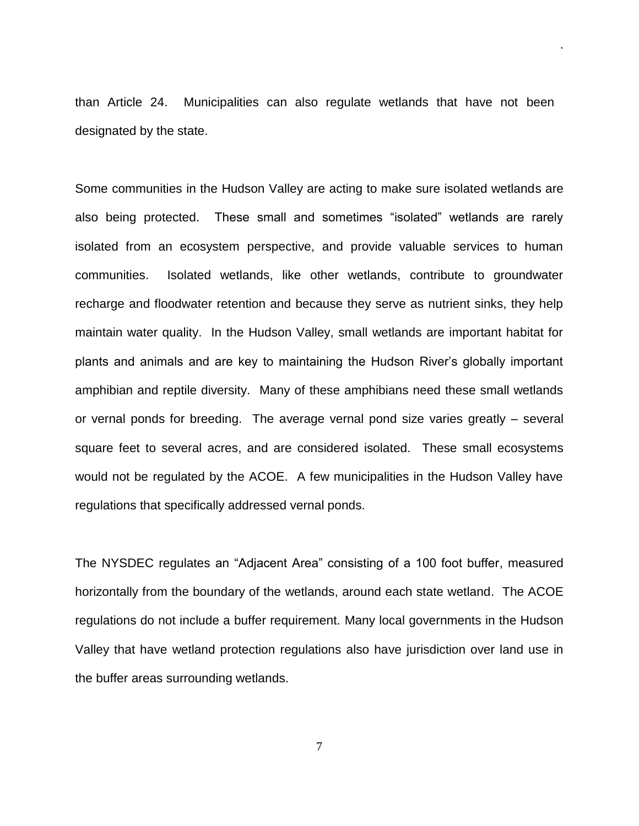than Article 24. Municipalities can also regulate wetlands that have not been designated by the state.

.

Some communities in the Hudson Valley are acting to make sure isolated wetlands are also being protected. These small and sometimes "isolated" wetlands are rarely isolated from an ecosystem perspective, and provide valuable services to human communities. Isolated wetlands, like other wetlands, contribute to groundwater recharge and floodwater retention and because they serve as nutrient sinks, they help maintain water quality. In the Hudson Valley, small wetlands are important habitat for plants and animals and are key to maintaining the Hudson River's globally important amphibian and reptile diversity. Many of these amphibians need these small wetlands or vernal ponds for breeding. The average vernal pond size varies greatly – several square feet to several acres, and are considered isolated. These small ecosystems would not be regulated by the ACOE. A few municipalities in the Hudson Valley have regulations that specifically addressed vernal ponds.

The NYSDEC regulates an "Adjacent Area" consisting of a 100 foot buffer, measured horizontally from the boundary of the wetlands, around each state wetland. The ACOE regulations do not include a buffer requirement. Many local governments in the Hudson Valley that have wetland protection regulations also have jurisdiction over land use in the buffer areas surrounding wetlands.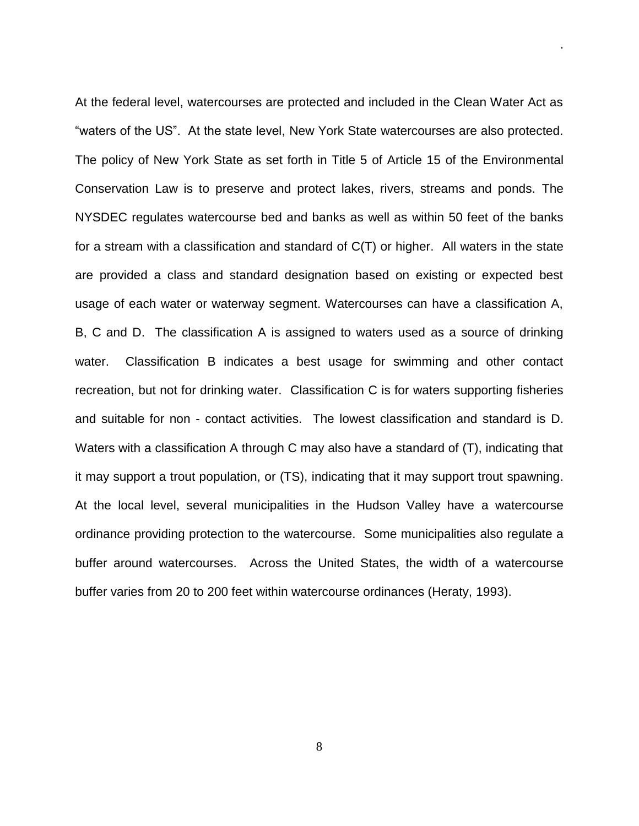At the federal level, watercourses are protected and included in the Clean Water Act as "waters of the US". At the state level, New York State watercourses are also protected. The policy of New York State as set forth in Title 5 of Article 15 of the Environmental Conservation Law is to preserve and protect lakes, rivers, streams and ponds. The NYSDEC regulates watercourse bed and banks as well as within 50 feet of the banks for a stream with a classification and standard of C(T) or higher. All waters in the state are provided a class and standard designation based on existing or expected best usage of each water or waterway segment. Watercourses can have a classification A, B, C and D. The classification A is assigned to waters used as a source of drinking water. Classification B indicates a best usage for swimming and other contact recreation, but not for drinking water. Classification C is for waters supporting fisheries and suitable for non - contact activities. The lowest classification and standard is D. Waters with a classification A through C may also have a standard of (T), indicating that it may support a trout population, or (TS), indicating that it may support trout spawning. At the local level, several municipalities in the Hudson Valley have a watercourse ordinance providing protection to the watercourse. Some municipalities also regulate a buffer around watercourses. Across the United States, the width of a watercourse buffer varies from 20 to 200 feet within watercourse ordinances (Heraty, 1993).

.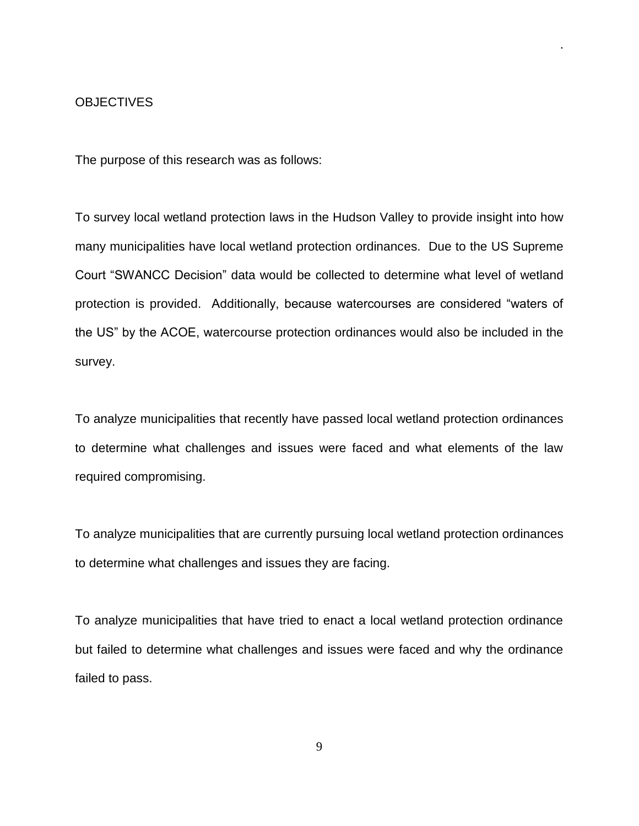#### **OBJECTIVES**

The purpose of this research was as follows:

To survey local wetland protection laws in the Hudson Valley to provide insight into how many municipalities have local wetland protection ordinances. Due to the US Supreme Court "SWANCC Decision" data would be collected to determine what level of wetland protection is provided. Additionally, because watercourses are considered "waters of the US" by the ACOE, watercourse protection ordinances would also be included in the survey.

.

To analyze municipalities that recently have passed local wetland protection ordinances to determine what challenges and issues were faced and what elements of the law required compromising.

To analyze municipalities that are currently pursuing local wetland protection ordinances to determine what challenges and issues they are facing.

To analyze municipalities that have tried to enact a local wetland protection ordinance but failed to determine what challenges and issues were faced and why the ordinance failed to pass.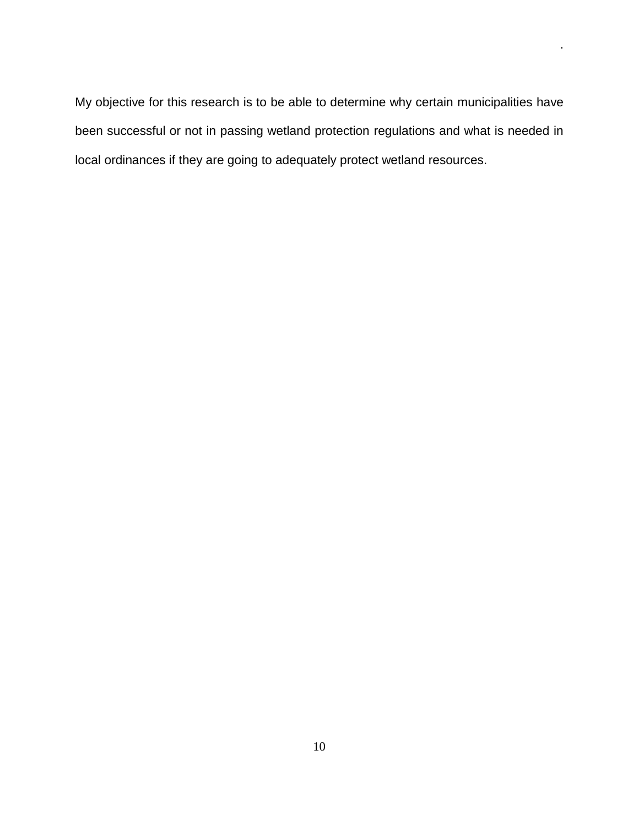My objective for this research is to be able to determine why certain municipalities have been successful or not in passing wetland protection regulations and what is needed in local ordinances if they are going to adequately protect wetland resources.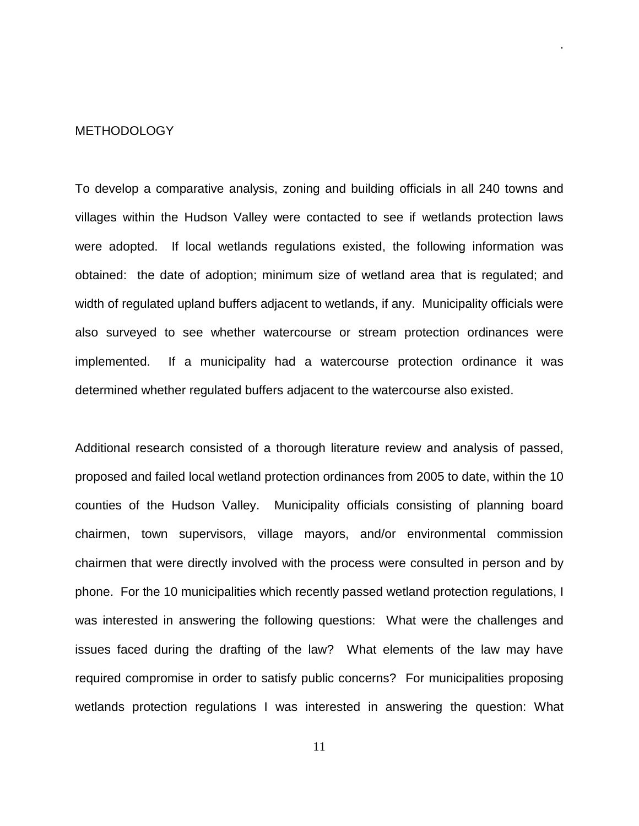#### METHODOLOGY

To develop a comparative analysis, zoning and building officials in all 240 towns and villages within the Hudson Valley were contacted to see if wetlands protection laws were adopted. If local wetlands regulations existed, the following information was obtained: the date of adoption; minimum size of wetland area that is regulated; and width of regulated upland buffers adjacent to wetlands, if any. Municipality officials were also surveyed to see whether watercourse or stream protection ordinances were implemented. If a municipality had a watercourse protection ordinance it was determined whether regulated buffers adjacent to the watercourse also existed.

.

Additional research consisted of a thorough literature review and analysis of passed, proposed and failed local wetland protection ordinances from 2005 to date, within the 10 counties of the Hudson Valley. Municipality officials consisting of planning board chairmen, town supervisors, village mayors, and/or environmental commission chairmen that were directly involved with the process were consulted in person and by phone. For the 10 municipalities which recently passed wetland protection regulations, I was interested in answering the following questions: What were the challenges and issues faced during the drafting of the law? What elements of the law may have required compromise in order to satisfy public concerns? For municipalities proposing wetlands protection regulations I was interested in answering the question: What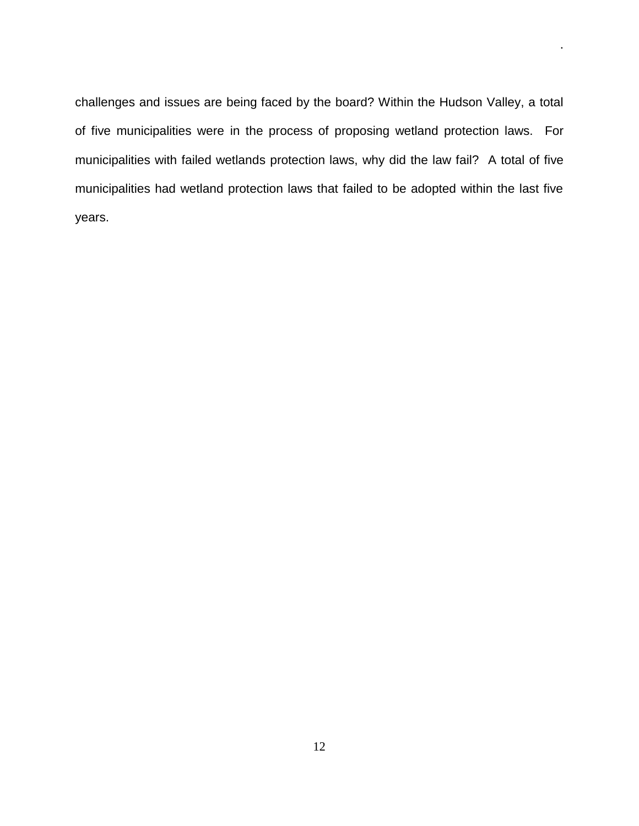challenges and issues are being faced by the board? Within the Hudson Valley, a total of five municipalities were in the process of proposing wetland protection laws. For municipalities with failed wetlands protection laws, why did the law fail? A total of five municipalities had wetland protection laws that failed to be adopted within the last five years.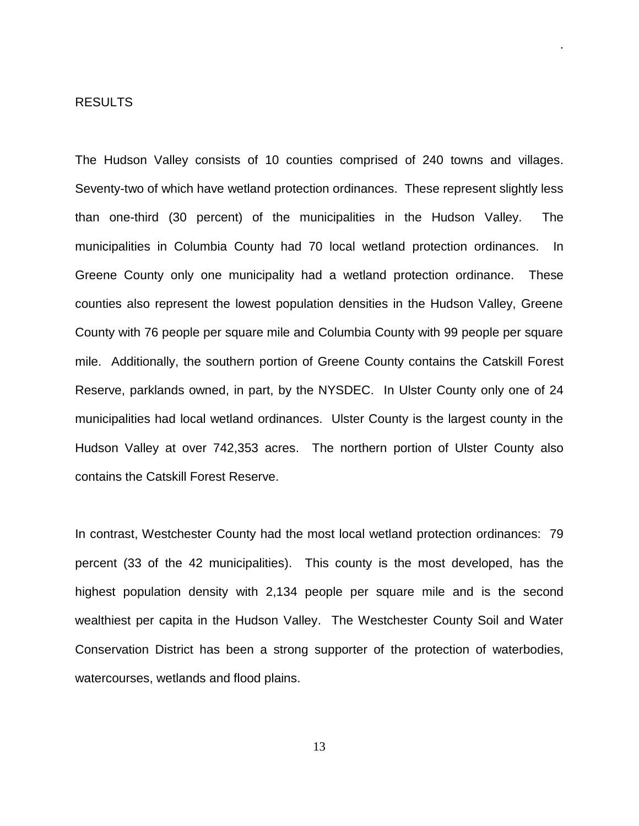#### RESULTS

The Hudson Valley consists of 10 counties comprised of 240 towns and villages. Seventy-two of which have wetland protection ordinances. These represent slightly less than one-third (30 percent) of the municipalities in the Hudson Valley. The municipalities in Columbia County had 70 local wetland protection ordinances. In Greene County only one municipality had a wetland protection ordinance. These counties also represent the lowest population densities in the Hudson Valley, Greene County with 76 people per square mile and Columbia County with 99 people per square mile. Additionally, the southern portion of Greene County contains the Catskill Forest Reserve, parklands owned, in part, by the NYSDEC. In Ulster County only one of 24 municipalities had local wetland ordinances. Ulster County is the largest county in the Hudson Valley at over 742,353 acres. The northern portion of Ulster County also contains the Catskill Forest Reserve.

.

In contrast, Westchester County had the most local wetland protection ordinances: 79 percent (33 of the 42 municipalities). This county is the most developed, has the highest population density with 2,134 people per square mile and is the second wealthiest per capita in the Hudson Valley. The Westchester County Soil and Water Conservation District has been a strong supporter of the protection of waterbodies, watercourses, wetlands and flood plains.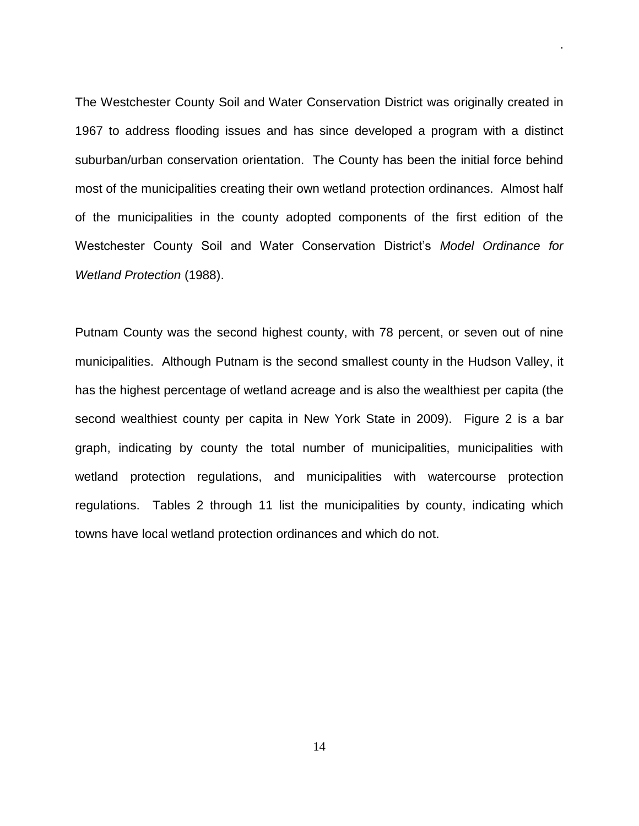The Westchester County Soil and Water Conservation District was originally created in 1967 to address flooding issues and has since developed a program with a distinct suburban/urban conservation orientation. The County has been the initial force behind most of the municipalities creating their own wetland protection ordinances. Almost half of the municipalities in the county adopted components of the first edition of the Westchester County Soil and Water Conservation District's *Model Ordinance for Wetland Protection* (1988).

.

Putnam County was the second highest county, with 78 percent, or seven out of nine municipalities. Although Putnam is the second smallest county in the Hudson Valley, it has the highest percentage of wetland acreage and is also the wealthiest per capita (the second wealthiest county per capita in New York State in 2009). Figure 2 is a bar graph, indicating by county the total number of municipalities, municipalities with wetland protection regulations, and municipalities with watercourse protection regulations. Tables 2 through 11 list the municipalities by county, indicating which towns have local wetland protection ordinances and which do not.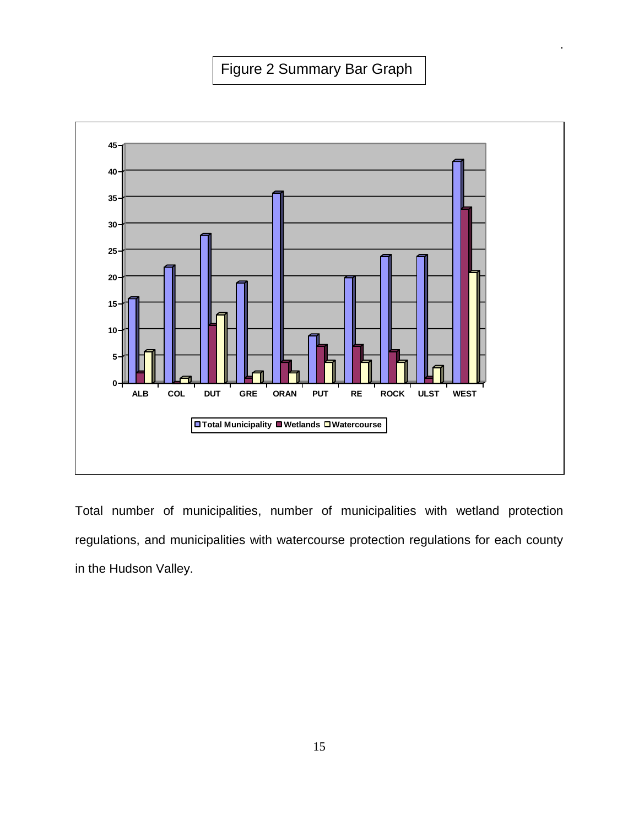.



Total number of municipalities, number of municipalities with wetland protection regulations, and municipalities with watercourse protection regulations for each county in the Hudson Valley.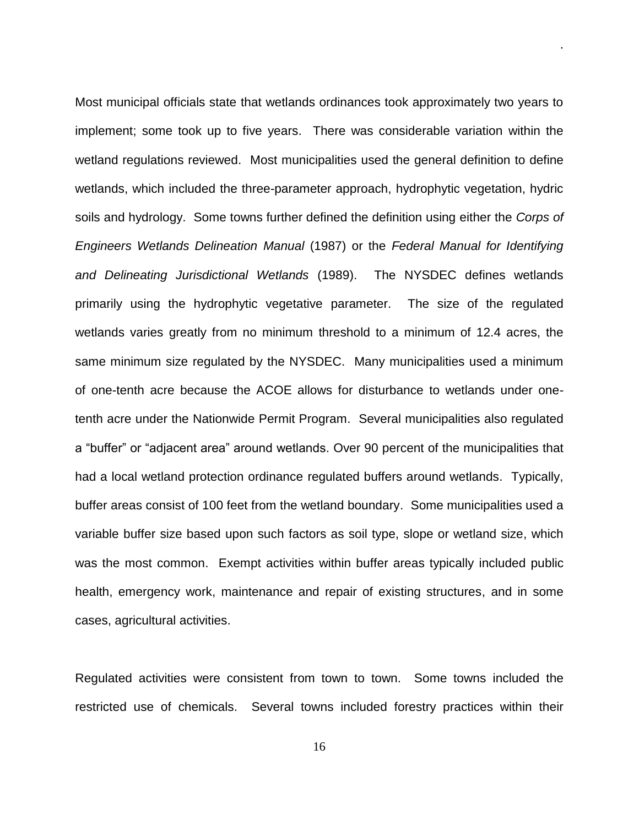Most municipal officials state that wetlands ordinances took approximately two years to implement; some took up to five years. There was considerable variation within the wetland regulations reviewed. Most municipalities used the general definition to define wetlands, which included the three-parameter approach, hydrophytic vegetation, hydric soils and hydrology. Some towns further defined the definition using either the *Corps of Engineers Wetlands Delineation Manual* (1987) or the *Federal Manual for Identifying and Delineating Jurisdictional Wetlands* (1989). The NYSDEC defines wetlands primarily using the hydrophytic vegetative parameter. The size of the regulated wetlands varies greatly from no minimum threshold to a minimum of 12.4 acres, the same minimum size regulated by the NYSDEC. Many municipalities used a minimum of one-tenth acre because the ACOE allows for disturbance to wetlands under onetenth acre under the Nationwide Permit Program. Several municipalities also regulated a "buffer" or "adjacent area" around wetlands. Over 90 percent of the municipalities that had a local wetland protection ordinance regulated buffers around wetlands. Typically, buffer areas consist of 100 feet from the wetland boundary. Some municipalities used a variable buffer size based upon such factors as soil type, slope or wetland size, which was the most common. Exempt activities within buffer areas typically included public health, emergency work, maintenance and repair of existing structures, and in some cases, agricultural activities.

.

Regulated activities were consistent from town to town. Some towns included the restricted use of chemicals. Several towns included forestry practices within their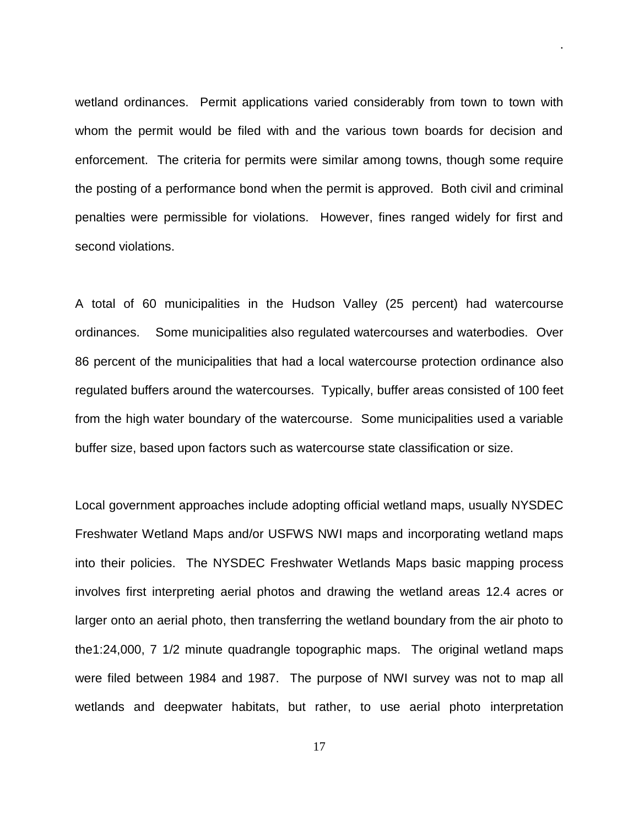wetland ordinances. Permit applications varied considerably from town to town with whom the permit would be filed with and the various town boards for decision and enforcement. The criteria for permits were similar among towns, though some require the posting of a performance bond when the permit is approved. Both civil and criminal penalties were permissible for violations. However, fines ranged widely for first and second violations.

.

A total of 60 municipalities in the Hudson Valley (25 percent) had watercourse ordinances. Some municipalities also regulated watercourses and waterbodies. Over 86 percent of the municipalities that had a local watercourse protection ordinance also regulated buffers around the watercourses. Typically, buffer areas consisted of 100 feet from the high water boundary of the watercourse. Some municipalities used a variable buffer size, based upon factors such as watercourse state classification or size.

Local government approaches include adopting official wetland maps, usually NYSDEC Freshwater Wetland Maps and/or USFWS NWI maps and incorporating wetland maps into their policies. The NYSDEC Freshwater Wetlands Maps basic mapping process involves first interpreting aerial photos and drawing the wetland areas 12.4 acres or larger onto an aerial photo, then transferring the wetland boundary from the air photo to the1:24,000, 7 1/2 minute quadrangle topographic maps. The original wetland maps were filed between 1984 and 1987. The purpose of NWI survey was not to map all wetlands and deepwater habitats, but rather, to use aerial photo interpretation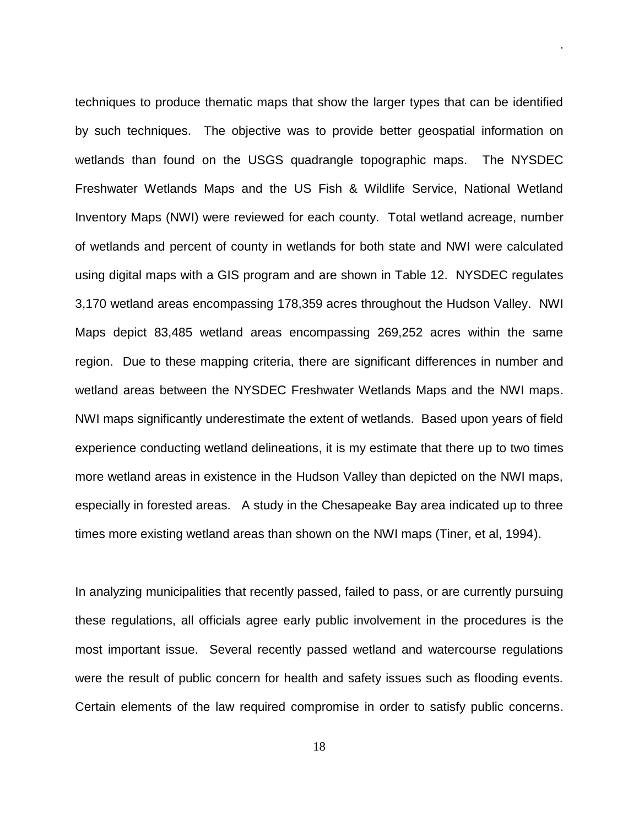techniques to produce thematic maps that show the larger types that can be identified by such techniques. The objective was to provide better geospatial information on wetlands than found on the USGS quadrangle topographic maps. The NYSDEC Freshwater Wetlands Maps and the US Fish & Wildlife Service, National Wetland Inventory Maps (NWI) were reviewed for each county. Total wetland acreage, number of wetlands and percent of county in wetlands for both state and NWI were calculated using digital maps with a GIS program and are shown in Table 12. NYSDEC regulates 3,170 wetland areas encompassing 178,359 acres throughout the Hudson Valley. NWI Maps depict 83,485 wetland areas encompassing 269,252 acres within the same region. Due to these mapping criteria, there are significant differences in number and wetland areas between the NYSDEC Freshwater Wetlands Maps and the NWI maps. NWI maps significantly underestimate the extent of wetlands. Based upon years of field experience conducting wetland delineations, it is my estimate that there up to two times more wetland areas in existence in the Hudson Valley than depicted on the NWI maps, especially in forested areas. A study in the Chesapeake Bay area indicated up to three times more existing wetland areas than shown on the NWI maps (Tiner, et al, 1994).

.

In analyzing municipalities that recently passed, failed to pass, or are currently pursuing these regulations, all officials agree early public involvement in the procedures is the most important issue. Several recently passed wetland and watercourse regulations were the result of public concern for health and safety issues such as flooding events. Certain elements of the law required compromise in order to satisfy public concerns.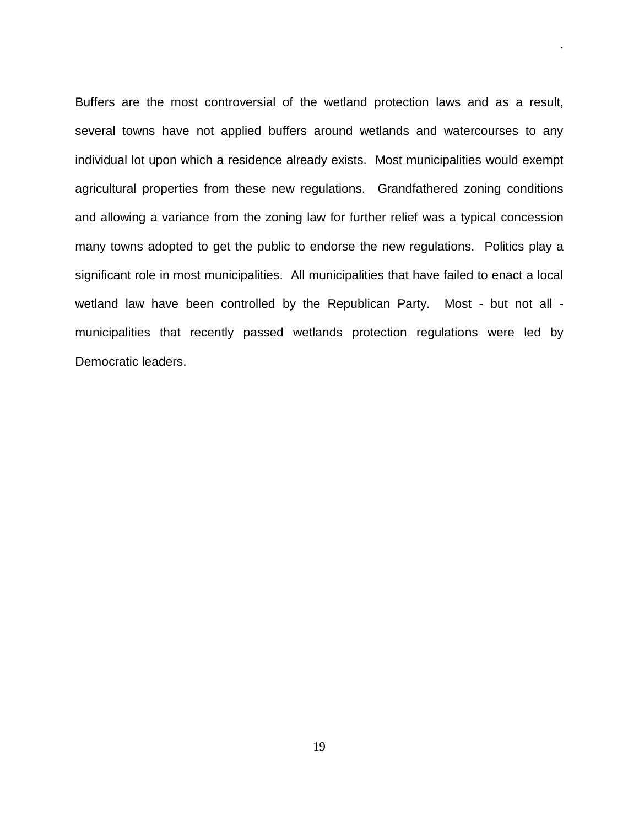Buffers are the most controversial of the wetland protection laws and as a result, several towns have not applied buffers around wetlands and watercourses to any individual lot upon which a residence already exists. Most municipalities would exempt agricultural properties from these new regulations. Grandfathered zoning conditions and allowing a variance from the zoning law for further relief was a typical concession many towns adopted to get the public to endorse the new regulations. Politics play a significant role in most municipalities. All municipalities that have failed to enact a local wetland law have been controlled by the Republican Party. Most - but not all municipalities that recently passed wetlands protection regulations were led by Democratic leaders.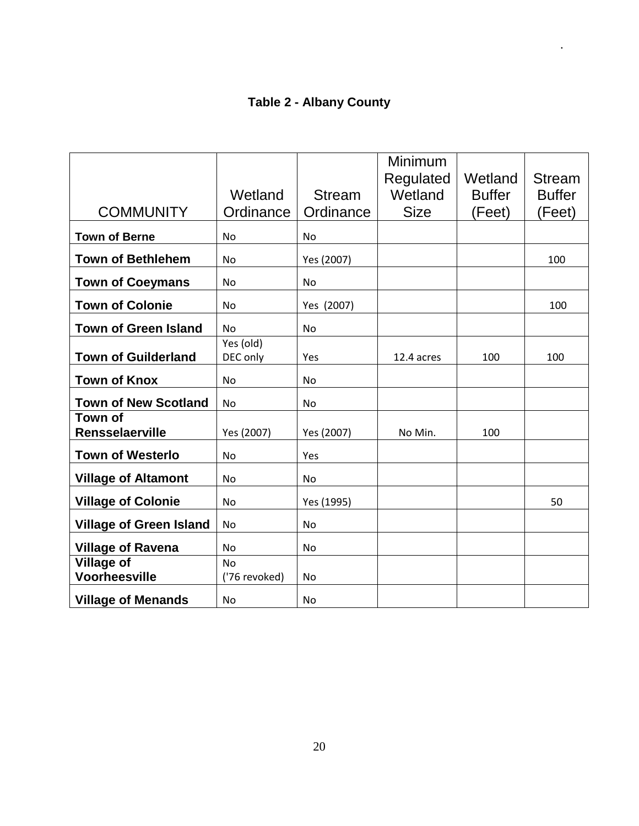# **Table 2 - Albany County**

|                                          |               |                | Minimum              | Wetland       |                                |
|------------------------------------------|---------------|----------------|----------------------|---------------|--------------------------------|
|                                          | Wetland       | <b>Stream</b>  | Regulated<br>Wetland | <b>Buffer</b> | <b>Stream</b><br><b>Buffer</b> |
|                                          |               |                |                      |               |                                |
| <b>COMMUNITY</b>                         | Ordinance     | Ordinance      | <b>Size</b>          | (Feet)        | (Feet)                         |
| <b>Town of Berne</b>                     | <b>No</b>     | No             |                      |               |                                |
| <b>Town of Bethlehem</b>                 | <b>No</b>     | Yes (2007)     |                      |               | 100                            |
| <b>Town of Coeymans</b>                  | <b>No</b>     | No.            |                      |               |                                |
| <b>Town of Colonie</b>                   | <b>No</b>     | Yes (2007)     |                      |               | 100                            |
| <b>Town of Green Island</b>              | <b>No</b>     | <b>No</b>      |                      |               |                                |
|                                          | Yes (old)     |                |                      |               |                                |
| <b>Town of Guilderland</b>               | DEC only      | Yes            | 12.4 acres           | 100           | 100                            |
| <b>Town of Knox</b>                      | <b>No</b>     | N <sub>o</sub> |                      |               |                                |
| <b>Town of New Scotland</b>              | No            | No             |                      |               |                                |
| <b>Town of</b><br><b>Rensselaerville</b> | Yes (2007)    | Yes (2007)     | No Min.              | 100           |                                |
| <b>Town of Westerlo</b>                  | <b>No</b>     | Yes            |                      |               |                                |
|                                          |               |                |                      |               |                                |
| <b>Village of Altamont</b>               | No            | No             |                      |               |                                |
| <b>Village of Colonie</b>                | No            | Yes (1995)     |                      |               | 50                             |
| <b>Village of Green Island</b>           | <b>No</b>     | No.            |                      |               |                                |
| <b>Village of Ravena</b>                 | <b>No</b>     | <b>No</b>      |                      |               |                                |
| <b>Village of</b>                        | <b>No</b>     |                |                      |               |                                |
| <b>Voorheesville</b>                     | ('76 revoked) | <b>No</b>      |                      |               |                                |
| <b>Village of Menands</b>                | No            | No             |                      |               |                                |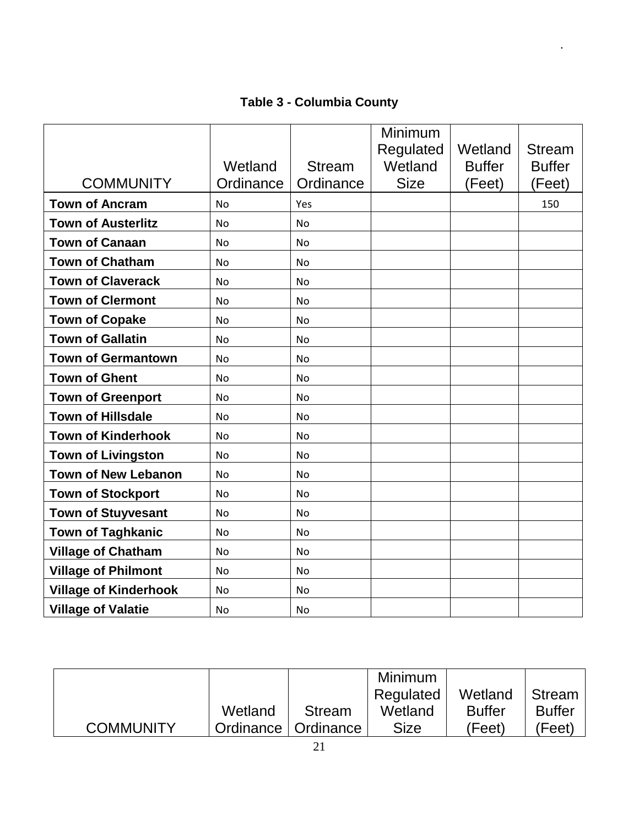# **Table 3 - Columbia County**

|                              |           |               | Minimum<br>Regulated | Wetland       | <b>Stream</b> |
|------------------------------|-----------|---------------|----------------------|---------------|---------------|
|                              | Wetland   | <b>Stream</b> | Wetland              | <b>Buffer</b> | <b>Buffer</b> |
| <b>COMMUNITY</b>             | Ordinance | Ordinance     | <b>Size</b>          | (Feet)        | (Feet)        |
| <b>Town of Ancram</b>        | <b>No</b> | Yes           |                      |               | 150           |
| <b>Town of Austerlitz</b>    | <b>No</b> | <b>No</b>     |                      |               |               |
| <b>Town of Canaan</b>        | <b>No</b> | <b>No</b>     |                      |               |               |
| <b>Town of Chatham</b>       | No        | No            |                      |               |               |
| <b>Town of Claverack</b>     | No        | <b>No</b>     |                      |               |               |
| <b>Town of Clermont</b>      | No        | <b>No</b>     |                      |               |               |
| <b>Town of Copake</b>        | <b>No</b> | <b>No</b>     |                      |               |               |
| <b>Town of Gallatin</b>      | <b>No</b> | <b>No</b>     |                      |               |               |
| <b>Town of Germantown</b>    | <b>No</b> | <b>No</b>     |                      |               |               |
| <b>Town of Ghent</b>         | <b>No</b> | <b>No</b>     |                      |               |               |
| <b>Town of Greenport</b>     | <b>No</b> | <b>No</b>     |                      |               |               |
| <b>Town of Hillsdale</b>     | No        | No            |                      |               |               |
| <b>Town of Kinderhook</b>    | <b>No</b> | <b>No</b>     |                      |               |               |
| <b>Town of Livingston</b>    | <b>No</b> | <b>No</b>     |                      |               |               |
| <b>Town of New Lebanon</b>   | No        | No            |                      |               |               |
| <b>Town of Stockport</b>     | No        | <b>No</b>     |                      |               |               |
| <b>Town of Stuyvesant</b>    | <b>No</b> | <b>No</b>     |                      |               |               |
| <b>Town of Taghkanic</b>     | <b>No</b> | <b>No</b>     |                      |               |               |
| <b>Village of Chatham</b>    | No        | No            |                      |               |               |
| <b>Village of Philmont</b>   | <b>No</b> | <b>No</b>     |                      |               |               |
| <b>Village of Kinderhook</b> | <b>No</b> | <b>No</b>     |                      |               |               |
| <b>Village of Valatie</b>    | <b>No</b> | No            |                      |               |               |

|                  |                       |               | <b>Minimum</b> |               |               |
|------------------|-----------------------|---------------|----------------|---------------|---------------|
|                  |                       |               | Regulated      | Wetland       | Stream        |
|                  | Wetland               | <b>Stream</b> | Wetland        | <b>Buffer</b> | <b>Buffer</b> |
| <b>COMMUNITY</b> | Ordinance   Ordinance |               | Size           | (Feet)        | 'Feet)        |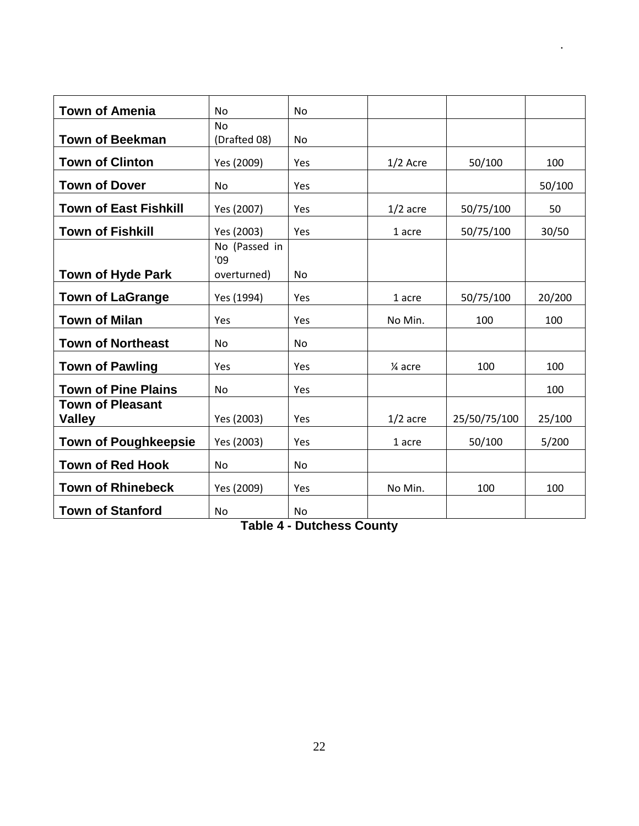| <b>Town of Amenia</b>                    | <b>No</b>            | <b>No</b>      |            |              |        |
|------------------------------------------|----------------------|----------------|------------|--------------|--------|
|                                          | <b>No</b>            |                |            |              |        |
| <b>Town of Beekman</b>                   | (Drafted 08)         | No             |            |              |        |
| <b>Town of Clinton</b>                   | Yes (2009)           | Yes            | $1/2$ Acre | 50/100       | 100    |
| <b>Town of Dover</b>                     | <b>No</b>            | Yes            |            |              | 50/100 |
| <b>Town of East Fishkill</b>             | Yes (2007)           | Yes            | $1/2$ acre | 50/75/100    | 50     |
| <b>Town of Fishkill</b>                  | Yes (2003)           | Yes            | 1 acre     | 50/75/100    | 30/50  |
|                                          | No (Passed in<br>'09 |                |            |              |        |
| <b>Town of Hyde Park</b>                 | overturned)          | No             |            |              |        |
| <b>Town of LaGrange</b>                  | Yes (1994)           | Yes            | 1 acre     | 50/75/100    | 20/200 |
| <b>Town of Milan</b>                     | Yes                  | Yes            | No Min.    | 100          | 100    |
| <b>Town of Northeast</b>                 | No                   | No             |            |              |        |
| <b>Town of Pawling</b>                   | Yes                  | Yes            | 1⁄4 acre   | 100          | 100    |
| <b>Town of Pine Plains</b>               | No                   | Yes            |            |              | 100    |
| <b>Town of Pleasant</b><br><b>Valley</b> | Yes (2003)           | Yes            | $1/2$ acre | 25/50/75/100 | 25/100 |
| <b>Town of Poughkeepsie</b>              | Yes (2003)           | <b>Yes</b>     | 1 acre     | 50/100       | 5/200  |
| <b>Town of Red Hook</b>                  | <b>No</b>            | No             |            |              |        |
| <b>Town of Rhinebeck</b>                 | Yes (2009)           | Yes            | No Min.    | 100          | 100    |
| <b>Town of Stanford</b>                  | No.                  | N <sub>0</sub> |            |              |        |

**Table 4 - Dutchess County**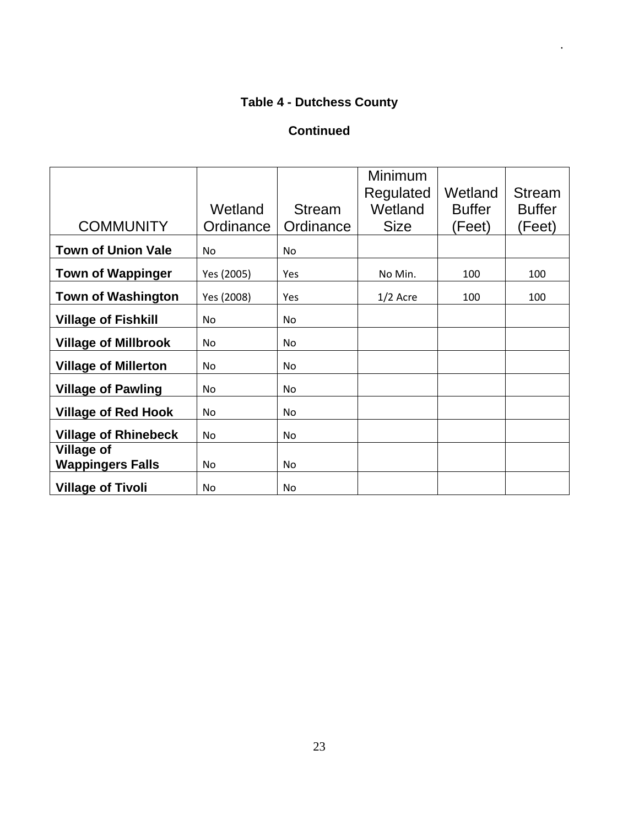# **Table 4 - Dutchess County**

.

### **Continued**

| <b>COMMUNITY</b>                             | Wetland<br>Ordinance | <b>Stream</b><br>Ordinance | <b>Minimum</b><br>Regulated<br>Wetland<br><b>Size</b> | Wetland<br><b>Buffer</b><br>(Feet) | <b>Stream</b><br><b>Buffer</b><br>(Feet) |
|----------------------------------------------|----------------------|----------------------------|-------------------------------------------------------|------------------------------------|------------------------------------------|
| <b>Town of Union Vale</b>                    | N <sub>o</sub>       | No.                        |                                                       |                                    |                                          |
| <b>Town of Wappinger</b>                     | Yes (2005)           | Yes                        | No Min.                                               | 100                                | 100                                      |
| <b>Town of Washington</b>                    | Yes (2008)           | Yes                        | $1/2$ Acre                                            | 100                                | 100                                      |
| <b>Village of Fishkill</b>                   | No.                  | No.                        |                                                       |                                    |                                          |
| <b>Village of Millbrook</b>                  | No.                  | No.                        |                                                       |                                    |                                          |
| <b>Village of Millerton</b>                  | No.                  | No.                        |                                                       |                                    |                                          |
| <b>Village of Pawling</b>                    | No.                  | No.                        |                                                       |                                    |                                          |
| <b>Village of Red Hook</b>                   | No                   | No.                        |                                                       |                                    |                                          |
| <b>Village of Rhinebeck</b>                  | <b>No</b>            | No.                        |                                                       |                                    |                                          |
| <b>Village of</b><br><b>Wappingers Falls</b> | No.                  | No.                        |                                                       |                                    |                                          |
| <b>Village of Tivoli</b>                     | <b>No</b>            | No.                        |                                                       |                                    |                                          |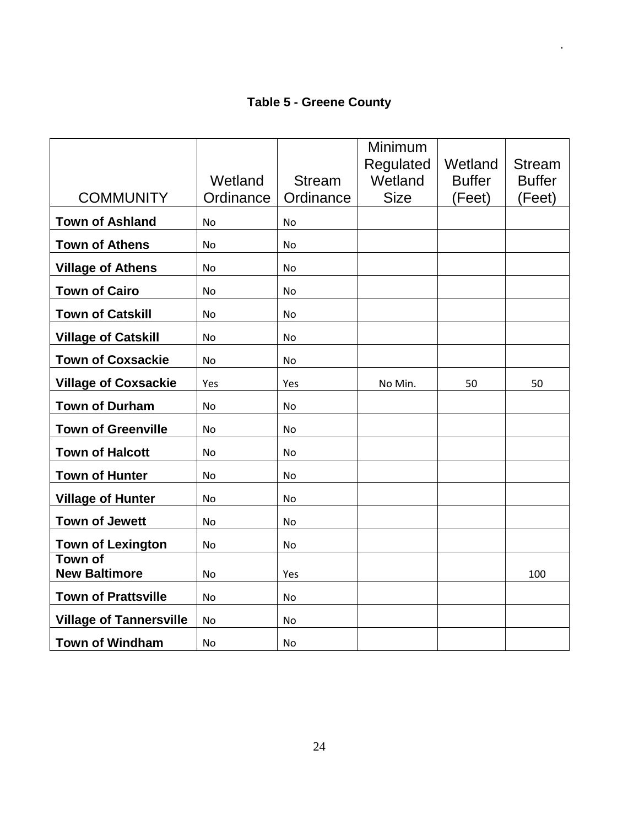#### **Table 5 - Greene County**

|                                        |           |               | Minimum<br>Regulated | Wetland       | <b>Stream</b> |
|----------------------------------------|-----------|---------------|----------------------|---------------|---------------|
|                                        | Wetland   | <b>Stream</b> | Wetland              | <b>Buffer</b> | <b>Buffer</b> |
| <b>COMMUNITY</b>                       | Ordinance | Ordinance     | <b>Size</b>          | (Feet)        | (Feet)        |
| <b>Town of Ashland</b>                 | <b>No</b> | <b>No</b>     |                      |               |               |
| <b>Town of Athens</b>                  | <b>No</b> | No            |                      |               |               |
| <b>Village of Athens</b>               | <b>No</b> | No            |                      |               |               |
| <b>Town of Cairo</b>                   | <b>No</b> | No            |                      |               |               |
| <b>Town of Catskill</b>                | <b>No</b> | <b>No</b>     |                      |               |               |
| <b>Village of Catskill</b>             | <b>No</b> | No            |                      |               |               |
| <b>Town of Coxsackie</b>               | No.       | No.           |                      |               |               |
| <b>Village of Coxsackie</b>            | Yes       | Yes           | No Min.              | 50            | 50            |
| <b>Town of Durham</b>                  | <b>No</b> | <b>No</b>     |                      |               |               |
| <b>Town of Greenville</b>              | <b>No</b> | No            |                      |               |               |
| <b>Town of Halcott</b>                 | <b>No</b> | No            |                      |               |               |
| <b>Town of Hunter</b>                  | <b>No</b> | No            |                      |               |               |
| <b>Village of Hunter</b>               | No        | No            |                      |               |               |
| <b>Town of Jewett</b>                  | <b>No</b> | <b>No</b>     |                      |               |               |
| <b>Town of Lexington</b>               | No        | No            |                      |               |               |
| <b>Town of</b><br><b>New Baltimore</b> | No        | Yes           |                      |               | 100           |
| <b>Town of Prattsville</b>             | <b>No</b> | <b>No</b>     |                      |               |               |
| <b>Village of Tannersville</b>         | <b>No</b> | No            |                      |               |               |
| <b>Town of Windham</b>                 | <b>No</b> | No            |                      |               |               |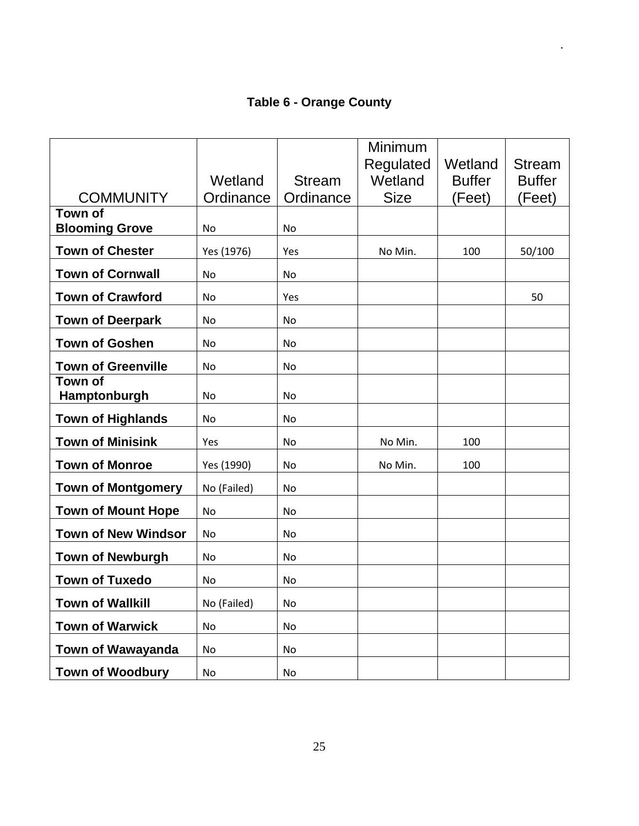# **Table 6 - Orange County**

|                                |                      |                            | Minimum                |                         |                         |
|--------------------------------|----------------------|----------------------------|------------------------|-------------------------|-------------------------|
|                                |                      |                            | Regulated              | Wetland                 | <b>Stream</b>           |
| <b>COMMUNITY</b>               | Wetland<br>Ordinance | <b>Stream</b><br>Ordinance | Wetland<br><b>Size</b> | <b>Buffer</b><br>(Feet) | <b>Buffer</b><br>(Feet) |
| <b>Town of</b>                 |                      |                            |                        |                         |                         |
| <b>Blooming Grove</b>          | <b>No</b>            | No                         |                        |                         |                         |
| <b>Town of Chester</b>         | Yes (1976)           | Yes                        | No Min.                | 100                     | 50/100                  |
| <b>Town of Cornwall</b>        | <b>No</b>            | <b>No</b>                  |                        |                         |                         |
| <b>Town of Crawford</b>        | <b>No</b>            | Yes                        |                        |                         | 50                      |
| <b>Town of Deerpark</b>        | No                   | No                         |                        |                         |                         |
| <b>Town of Goshen</b>          | <b>No</b>            | No                         |                        |                         |                         |
| <b>Town of Greenville</b>      | <b>No</b>            | No                         |                        |                         |                         |
| <b>Town of</b><br>Hamptonburgh | <b>No</b>            | No                         |                        |                         |                         |
| <b>Town of Highlands</b>       | <b>No</b>            | <b>No</b>                  |                        |                         |                         |
| <b>Town of Minisink</b>        | Yes                  | <b>No</b>                  | No Min.                | 100                     |                         |
| <b>Town of Monroe</b>          | Yes (1990)           | No                         | No Min.                | 100                     |                         |
| <b>Town of Montgomery</b>      | No (Failed)          | No                         |                        |                         |                         |
| <b>Town of Mount Hope</b>      | No                   | No                         |                        |                         |                         |
| <b>Town of New Windsor</b>     | <b>No</b>            | No                         |                        |                         |                         |
| <b>Town of Newburgh</b>        | <b>No</b>            | No                         |                        |                         |                         |
| <b>Town of Tuxedo</b>          | No                   | No                         |                        |                         |                         |
| <b>Town of Wallkill</b>        | No (Failed)          | <b>No</b>                  |                        |                         |                         |
| <b>Town of Warwick</b>         | N <sub>o</sub>       | No                         |                        |                         |                         |
| <b>Town of Wawayanda</b>       | No                   | No                         |                        |                         |                         |
| <b>Town of Woodbury</b>        | No                   | No                         |                        |                         |                         |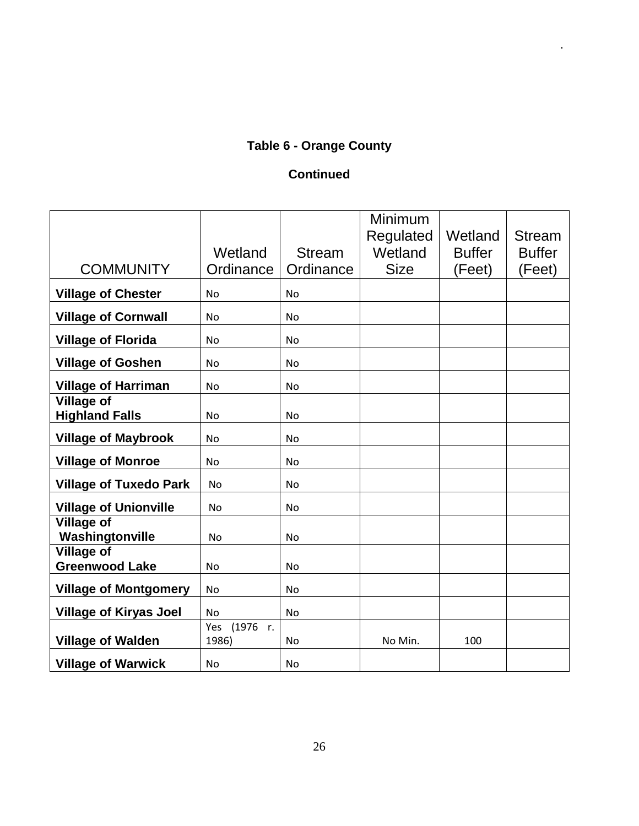# **Table 6 - Orange County**

.

#### **Continued**

|                                            |                          |               | Minimum<br>Regulated | Wetland       | <b>Stream</b> |
|--------------------------------------------|--------------------------|---------------|----------------------|---------------|---------------|
|                                            | Wetland                  | <b>Stream</b> | Wetland              | <b>Buffer</b> | <b>Buffer</b> |
| <b>COMMUNITY</b>                           | Ordinance                | Ordinance     | <b>Size</b>          | (Feet)        | (Feet)        |
| <b>Village of Chester</b>                  | <b>No</b>                | <b>No</b>     |                      |               |               |
| <b>Village of Cornwall</b>                 | <b>No</b>                | <b>No</b>     |                      |               |               |
| <b>Village of Florida</b>                  | <b>No</b>                | <b>No</b>     |                      |               |               |
| <b>Village of Goshen</b>                   | <b>No</b>                | <b>No</b>     |                      |               |               |
| <b>Village of Harriman</b>                 | <b>No</b>                | No            |                      |               |               |
| <b>Village of</b><br><b>Highland Falls</b> | No                       | <b>No</b>     |                      |               |               |
| <b>Village of Maybrook</b>                 | <b>No</b>                | <b>No</b>     |                      |               |               |
| <b>Village of Monroe</b>                   | <b>No</b>                | <b>No</b>     |                      |               |               |
| <b>Village of Tuxedo Park</b>              | <b>No</b>                | <b>No</b>     |                      |               |               |
| <b>Village of Unionville</b>               | <b>No</b>                | No            |                      |               |               |
| <b>Village of</b><br>Washingtonville       | <b>No</b>                | <b>No</b>     |                      |               |               |
| <b>Village of</b><br><b>Greenwood Lake</b> | <b>No</b>                | <b>No</b>     |                      |               |               |
| <b>Village of Montgomery</b>               | <b>No</b>                | No            |                      |               |               |
| <b>Village of Kiryas Joel</b>              | <b>No</b>                | <b>No</b>     |                      |               |               |
| <b>Village of Walden</b>                   | (1976 r.<br>Yes<br>1986) | <b>No</b>     | No Min.              | 100           |               |
| <b>Village of Warwick</b>                  | <b>No</b>                | No            |                      |               |               |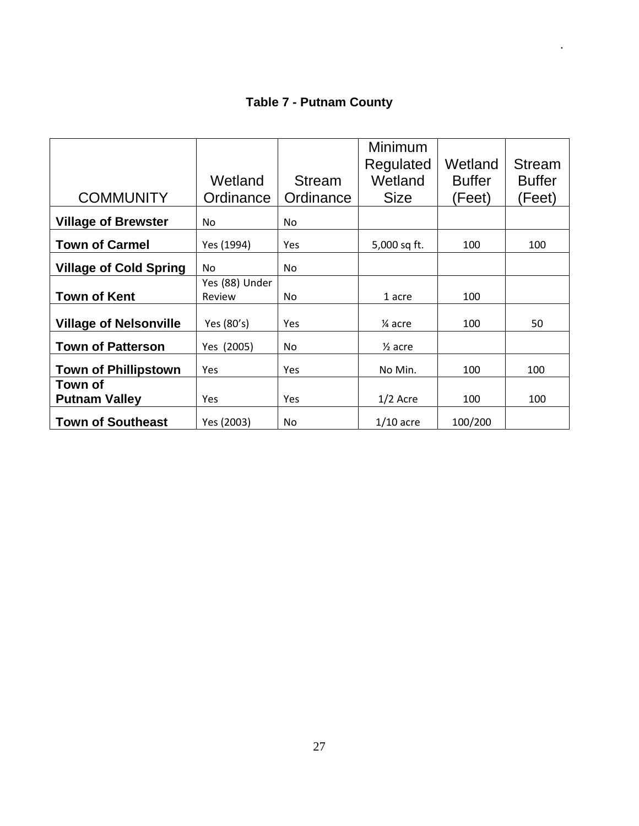# **Table 7 - Putnam County**

|                               |                |               | Minimum            |               |               |
|-------------------------------|----------------|---------------|--------------------|---------------|---------------|
|                               |                |               | Regulated          | Wetland       | <b>Stream</b> |
|                               | Wetland        | <b>Stream</b> | Wetland            | <b>Buffer</b> | <b>Buffer</b> |
| <b>COMMUNITY</b>              | Ordinance      | Ordinance     | <b>Size</b>        | (Feet)        | (Feet)        |
| <b>Village of Brewster</b>    | No.            | No.           |                    |               |               |
| <b>Town of Carmel</b>         | Yes (1994)     | Yes           | 5,000 sq ft.       | 100           | 100           |
| <b>Village of Cold Spring</b> | No.            | No.           |                    |               |               |
|                               | Yes (88) Under |               |                    |               |               |
| <b>Town of Kent</b>           | Review         | No.           | 1 acre             | 100           |               |
| <b>Village of Nelsonville</b> | Yes (80's)     | Yes           | 1⁄4 acre           | 100           | 50            |
| <b>Town of Patterson</b>      | Yes (2005)     | No.           | $\frac{1}{2}$ acre |               |               |
| <b>Town of Phillipstown</b>   | <b>Yes</b>     | Yes           | No Min.            | 100           | 100           |
| Town of                       |                |               |                    |               |               |
| <b>Putnam Valley</b>          | <b>Yes</b>     | Yes           | $1/2$ Acre         | 100           | 100           |
| <b>Town of Southeast</b>      | Yes (2003)     | No.           | $1/10$ acre        | 100/200       |               |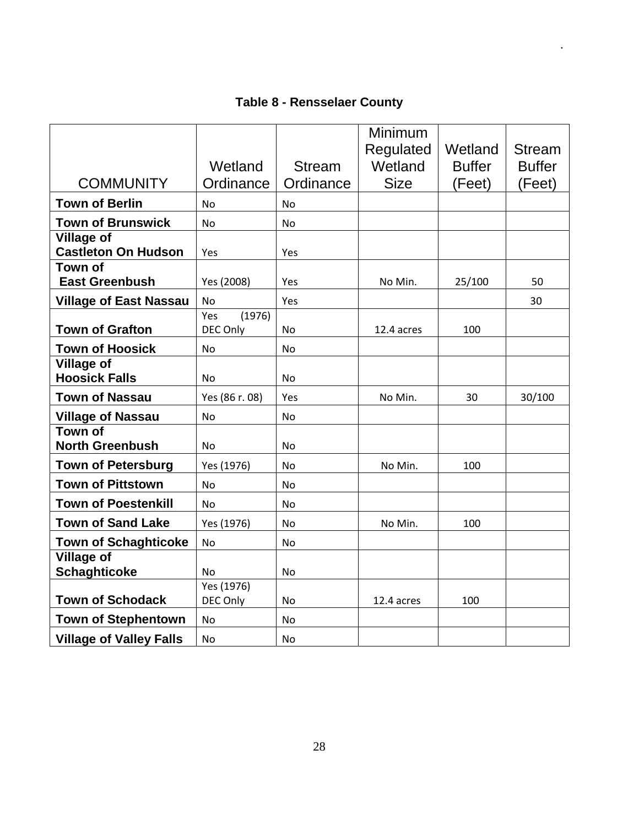# **Table 8 - Rensselaer County**

|                                                 |                           |               | Minimum<br>Regulated | Wetland       | <b>Stream</b> |
|-------------------------------------------------|---------------------------|---------------|----------------------|---------------|---------------|
|                                                 | Wetland                   | <b>Stream</b> | Wetland              | <b>Buffer</b> | <b>Buffer</b> |
| <b>COMMUNITY</b>                                | Ordinance                 | Ordinance     | <b>Size</b>          | (Feet)        | (Feet)        |
| <b>Town of Berlin</b>                           | <b>No</b>                 | <b>No</b>     |                      |               |               |
| <b>Town of Brunswick</b>                        | N <sub>o</sub>            | <b>No</b>     |                      |               |               |
| <b>Village of</b><br><b>Castleton On Hudson</b> | Yes                       | Yes           |                      |               |               |
| <b>Town of</b><br><b>East Greenbush</b>         | Yes (2008)                | Yes           | No Min.              | 25/100        | 50            |
| <b>Village of East Nassau</b>                   | No                        | Yes           |                      |               | 30            |
| <b>Town of Grafton</b>                          | Yes<br>(1976)<br>DEC Only | No            | 12.4 acres           | 100           |               |
| <b>Town of Hoosick</b>                          | <b>No</b>                 | No            |                      |               |               |
| <b>Village of</b>                               |                           |               |                      |               |               |
| <b>Hoosick Falls</b>                            | <b>No</b>                 | No            |                      |               |               |
| <b>Town of Nassau</b>                           | Yes (86 r. 08)            | Yes           | No Min.              | 30            | 30/100        |
| <b>Village of Nassau</b>                        | No                        | <b>No</b>     |                      |               |               |
| Town of<br><b>North Greenbush</b>               | <b>No</b>                 | <b>No</b>     |                      |               |               |
| <b>Town of Petersburg</b>                       | Yes (1976)                | <b>No</b>     | No Min.              | 100           |               |
| <b>Town of Pittstown</b>                        | N <sub>o</sub>            | No            |                      |               |               |
| <b>Town of Poestenkill</b>                      | No.                       | No            |                      |               |               |
| <b>Town of Sand Lake</b>                        | Yes (1976)                | No            | No Min.              | 100           |               |
| <b>Town of Schaghticoke</b>                     | <b>No</b>                 | No            |                      |               |               |
| <b>Village of</b><br><b>Schaghticoke</b>        | <b>No</b>                 | <b>No</b>     |                      |               |               |
| <b>Town of Schodack</b>                         | Yes (1976)<br>DEC Only    | <b>No</b>     | 12.4 acres           | 100           |               |
| <b>Town of Stephentown</b>                      | <b>No</b>                 | No            |                      |               |               |
| <b>Village of Valley Falls</b>                  | No.                       | No            |                      |               |               |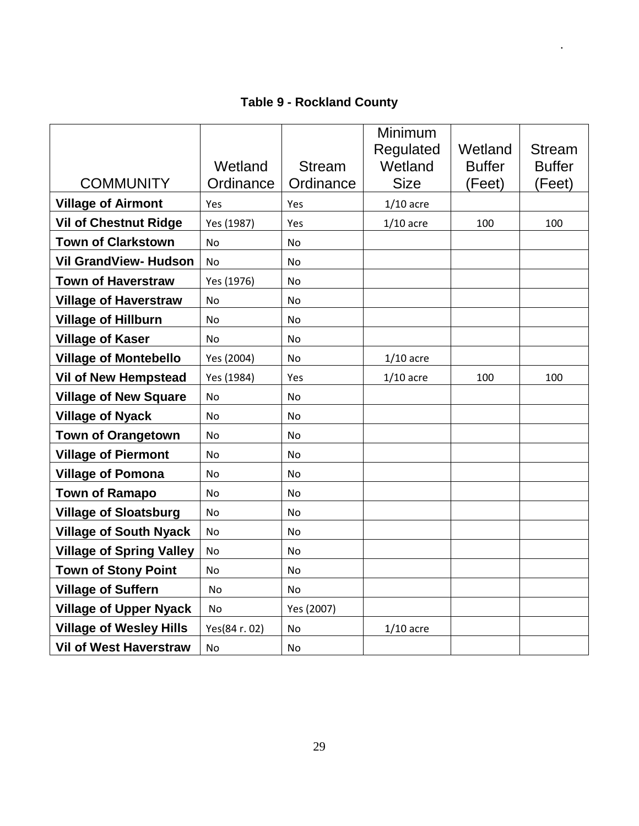# **Table 9 - Rockland County**

| <b>COMMUNITY</b>                | Wetland<br>Ordinance | <b>Stream</b><br>Ordinance | Minimum<br>Regulated<br>Wetland<br><b>Size</b> | Wetland<br><b>Buffer</b><br>(Feet) | <b>Stream</b><br><b>Buffer</b><br>(Feet) |
|---------------------------------|----------------------|----------------------------|------------------------------------------------|------------------------------------|------------------------------------------|
|                                 |                      |                            |                                                |                                    |                                          |
| <b>Village of Airmont</b>       | Yes                  | Yes                        | $1/10$ acre                                    |                                    |                                          |
| <b>Vil of Chestnut Ridge</b>    | Yes (1987)           | Yes                        | $1/10$ acre                                    | 100                                | 100                                      |
| <b>Town of Clarkstown</b>       | <b>No</b>            | No                         |                                                |                                    |                                          |
| <b>Vil GrandView- Hudson</b>    | <b>No</b>            | <b>No</b>                  |                                                |                                    |                                          |
| <b>Town of Haverstraw</b>       | Yes (1976)           | No                         |                                                |                                    |                                          |
| <b>Village of Haverstraw</b>    | No                   | No                         |                                                |                                    |                                          |
| <b>Village of Hillburn</b>      | <b>No</b>            | <b>No</b>                  |                                                |                                    |                                          |
| <b>Village of Kaser</b>         | No                   | No                         |                                                |                                    |                                          |
| <b>Village of Montebello</b>    | Yes (2004)           | <b>No</b>                  | $1/10$ acre                                    |                                    |                                          |
| <b>Vil of New Hempstead</b>     | Yes (1984)           | Yes                        | $1/10$ acre                                    | 100                                | 100                                      |
| <b>Village of New Square</b>    | <b>No</b>            | No                         |                                                |                                    |                                          |
| <b>Village of Nyack</b>         | No                   | No                         |                                                |                                    |                                          |
| <b>Town of Orangetown</b>       | No                   | No                         |                                                |                                    |                                          |
| <b>Village of Piermont</b>      | <b>No</b>            | No                         |                                                |                                    |                                          |
| <b>Village of Pomona</b>        | No                   | No                         |                                                |                                    |                                          |
| <b>Town of Ramapo</b>           | No                   | No                         |                                                |                                    |                                          |
| <b>Village of Sloatsburg</b>    | <b>No</b>            | No                         |                                                |                                    |                                          |
| <b>Village of South Nyack</b>   | No                   | No                         |                                                |                                    |                                          |
| <b>Village of Spring Valley</b> | <b>No</b>            | <b>No</b>                  |                                                |                                    |                                          |
| <b>Town of Stony Point</b>      | <b>No</b>            | No                         |                                                |                                    |                                          |
| <b>Village of Suffern</b>       | No                   | <b>No</b>                  |                                                |                                    |                                          |
| <b>Village of Upper Nyack</b>   | No                   | Yes (2007)                 |                                                |                                    |                                          |
| <b>Village of Wesley Hills</b>  | Yes(84 r. 02)        | <b>No</b>                  | $1/10$ acre                                    |                                    |                                          |
| <b>Vil of West Haverstraw</b>   | <b>No</b>            | No.                        |                                                |                                    |                                          |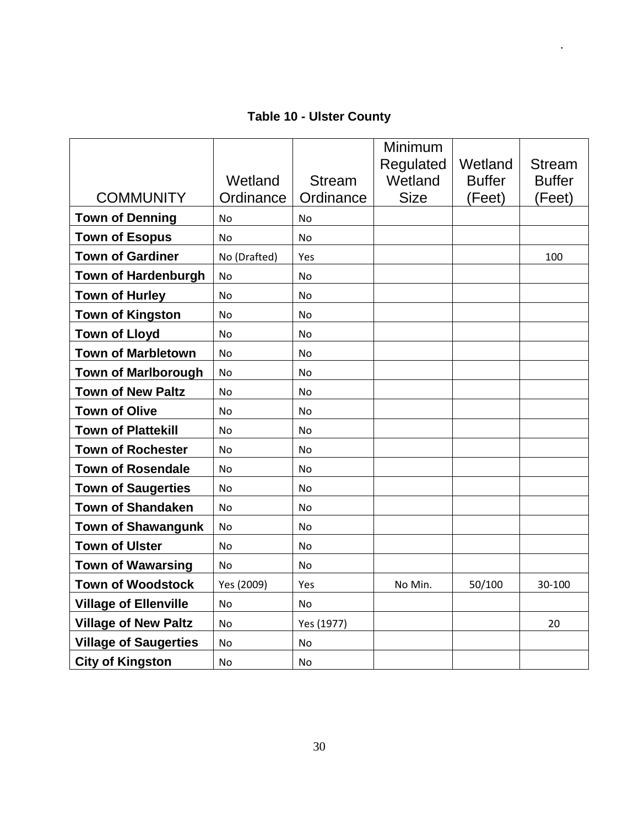# **Table 10 - Ulster County**

|                              |              |                | Minimum<br>Regulated | Wetland       | <b>Stream</b> |
|------------------------------|--------------|----------------|----------------------|---------------|---------------|
|                              | Wetland      | <b>Stream</b>  | Wetland              | <b>Buffer</b> | <b>Buffer</b> |
| <b>COMMUNITY</b>             | Ordinance    | Ordinance      | <b>Size</b>          | (Feet)        | (Feet)        |
| <b>Town of Denning</b>       | <b>No</b>    | <b>No</b>      |                      |               |               |
| <b>Town of Esopus</b>        | <b>No</b>    | <b>No</b>      |                      |               |               |
| <b>Town of Gardiner</b>      | No (Drafted) | Yes            |                      |               | 100           |
| <b>Town of Hardenburgh</b>   | <b>No</b>    | No.            |                      |               |               |
| <b>Town of Hurley</b>        | <b>No</b>    | No             |                      |               |               |
| <b>Town of Kingston</b>      | <b>No</b>    | N <sub>o</sub> |                      |               |               |
| <b>Town of Lloyd</b>         | No           | No             |                      |               |               |
| <b>Town of Marbletown</b>    | No           | <b>No</b>      |                      |               |               |
| <b>Town of Marlborough</b>   | <b>No</b>    | N <sub>o</sub> |                      |               |               |
| <b>Town of New Paltz</b>     | No           | No             |                      |               |               |
| <b>Town of Olive</b>         | No           | No             |                      |               |               |
| <b>Town of Plattekill</b>    | <b>No</b>    | No             |                      |               |               |
| <b>Town of Rochester</b>     | No           | <b>No</b>      |                      |               |               |
| <b>Town of Rosendale</b>     | No           | No             |                      |               |               |
| <b>Town of Saugerties</b>    | No           | No             |                      |               |               |
| <b>Town of Shandaken</b>     | <b>No</b>    | No             |                      |               |               |
| <b>Town of Shawangunk</b>    | No           | No.            |                      |               |               |
| <b>Town of Ulster</b>        | <b>No</b>    | No             |                      |               |               |
| <b>Town of Wawarsing</b>     | <b>No</b>    | No             |                      |               |               |
| <b>Town of Woodstock</b>     | Yes (2009)   | Yes            | No Min.              | 50/100        | 30-100        |
| <b>Village of Ellenville</b> | No           | No             |                      |               |               |
| <b>Village of New Paltz</b>  | <b>No</b>    | Yes (1977)     |                      |               | 20            |
| <b>Village of Saugerties</b> | <b>No</b>    | <b>No</b>      |                      |               |               |
| <b>City of Kingston</b>      | No           | No             |                      |               |               |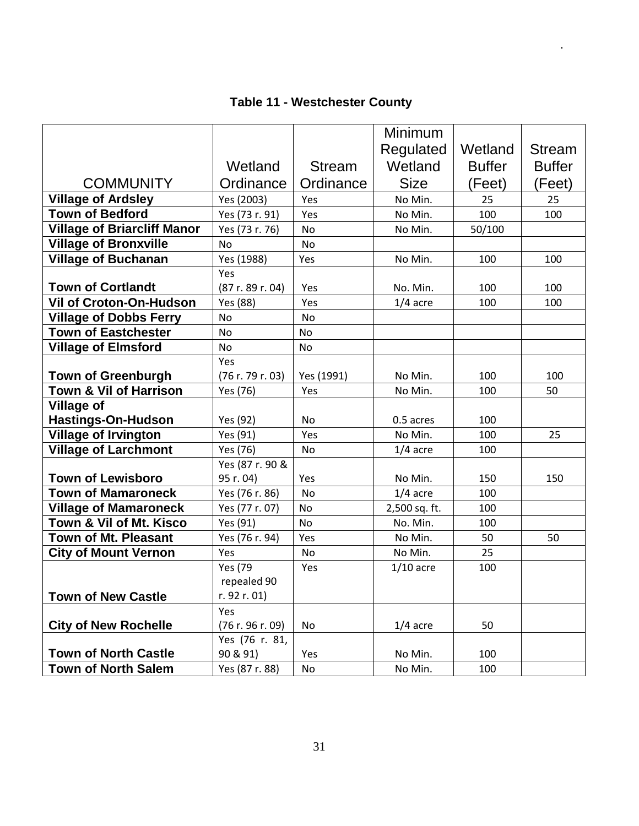# **Table 11 - Westchester County**

|                                    |                  |               | Minimum       |               |               |
|------------------------------------|------------------|---------------|---------------|---------------|---------------|
|                                    |                  |               | Regulated     | Wetland       | <b>Stream</b> |
|                                    | Wetland          | <b>Stream</b> | Wetland       | <b>Buffer</b> | <b>Buffer</b> |
| <b>COMMUNITY</b>                   | Ordinance        | Ordinance     | <b>Size</b>   | (Feet)        | (Feet)        |
| <b>Village of Ardsley</b>          | Yes (2003)       | Yes           | No Min.       | 25            | 25            |
| <b>Town of Bedford</b>             | Yes (73 r. 91)   | Yes           | No Min.       | 100           | 100           |
| <b>Village of Briarcliff Manor</b> | Yes (73 r. 76)   | No            | No Min.       | 50/100        |               |
| <b>Village of Bronxville</b>       | <b>No</b>        | <b>No</b>     |               |               |               |
| <b>Village of Buchanan</b>         | Yes (1988)       | Yes           | No Min.       | 100           | 100           |
|                                    | Yes              |               |               |               |               |
| <b>Town of Cortlandt</b>           | (87r. 89r. 04)   | Yes           | No. Min.      | 100           | 100           |
| <b>Vil of Croton-On-Hudson</b>     | Yes (88)         | Yes           | $1/4$ acre    | 100           | 100           |
| <b>Village of Dobbs Ferry</b>      | <b>No</b>        | <b>No</b>     |               |               |               |
| <b>Town of Eastchester</b>         | <b>No</b>        | No            |               |               |               |
| <b>Village of Elmsford</b>         | No               | No            |               |               |               |
|                                    | Yes              |               |               |               |               |
| <b>Town of Greenburgh</b>          | (76 r. 79 r. 03) | Yes (1991)    | No Min.       | 100           | 100           |
| <b>Town &amp; Vil of Harrison</b>  | Yes (76)         | Yes           | No Min.       | 100           | 50            |
| <b>Village of</b>                  |                  |               |               |               |               |
| <b>Hastings-On-Hudson</b>          | Yes (92)         | No            | 0.5 acres     | 100           |               |
| <b>Village of Irvington</b>        | Yes (91)         | Yes           | No Min.       | 100           | 25            |
| <b>Village of Larchmont</b>        | Yes (76)         | No            | $1/4$ acre    | 100           |               |
|                                    | Yes (87 r. 90 &  |               |               |               |               |
| <b>Town of Lewisboro</b>           | 95 r. 04)        | Yes           | No Min.       | 150           | 150           |
| <b>Town of Mamaroneck</b>          | Yes (76 r. 86)   | No            | $1/4$ acre    | 100           |               |
| <b>Village of Mamaroneck</b>       | Yes (77 r. 07)   | <b>No</b>     | 2,500 sq. ft. | 100           |               |
| Town & Vil of Mt. Kisco            | Yes (91)         | No            | No. Min.      | 100           |               |
| <b>Town of Mt. Pleasant</b>        | Yes (76 r. 94)   | Yes           | No Min.       | 50            | 50            |
| <b>City of Mount Vernon</b>        | Yes              | No            | No Min.       | 25            |               |
|                                    | <b>Yes</b> (79   | Yes           | $1/10$ acre   | 100           |               |
|                                    | repealed 90      |               |               |               |               |
| <b>Town of New Castle</b>          | r. 92 r. 01)     |               |               |               |               |
|                                    | Yes              |               |               |               |               |
| <b>City of New Rochelle</b>        | (76 r. 96 r. 09) | No            | $1/4$ acre    | 50            |               |
|                                    | Yes (76 r. 81,   |               |               |               |               |
| <b>Town of North Castle</b>        | 90 & 91)         | Yes           | No Min.       | 100           |               |
| <b>Town of North Salem</b>         | Yes (87 r. 88)   | No            | No Min.       | 100           |               |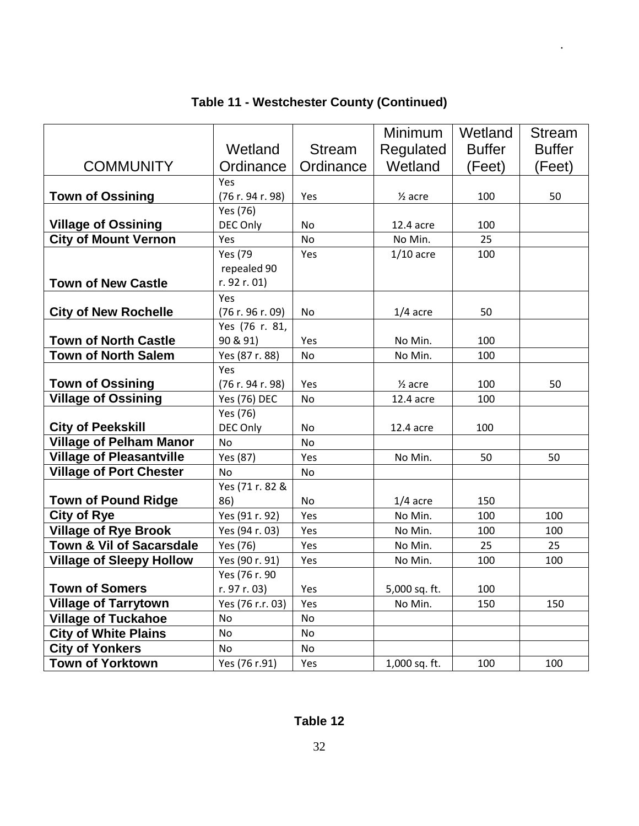|                                     |                  |               | Minimum            | Wetland       | <b>Stream</b> |
|-------------------------------------|------------------|---------------|--------------------|---------------|---------------|
|                                     | Wetland          | <b>Stream</b> | Regulated          | <b>Buffer</b> | <b>Buffer</b> |
| <b>COMMUNITY</b>                    | Ordinance        | Ordinance     | Wetland            | (Feet)        | (Feet)        |
|                                     | Yes              |               |                    |               |               |
| <b>Town of Ossining</b>             | (76 r. 94 r. 98) | Yes           | $\frac{1}{2}$ acre | 100           | 50            |
|                                     | Yes (76)         |               |                    |               |               |
| <b>Village of Ossining</b>          | DEC Only         | <b>No</b>     | 12.4 acre          | 100           |               |
| <b>City of Mount Vernon</b>         | Yes              | <b>No</b>     | No Min.            | 25            |               |
|                                     | <b>Yes</b> (79   | Yes           | $1/10$ acre        | 100           |               |
|                                     | repealed 90      |               |                    |               |               |
| <b>Town of New Castle</b>           | r. 92 r. 01)     |               |                    |               |               |
|                                     | Yes              |               |                    |               |               |
| <b>City of New Rochelle</b>         | (76 r. 96 r. 09) | No            | $1/4$ acre         | 50            |               |
|                                     | Yes (76 r. 81,   |               |                    |               |               |
| <b>Town of North Castle</b>         | 90 & 91)         | Yes           | No Min.            | 100           |               |
| <b>Town of North Salem</b>          | Yes (87 r. 88)   | No            | No Min.            | 100           |               |
|                                     | Yes              |               |                    |               |               |
| <b>Town of Ossining</b>             | (76 r. 94 r. 98) | Yes           | $\frac{1}{2}$ acre | 100           | 50            |
| <b>Village of Ossining</b>          | Yes (76) DEC     | <b>No</b>     | 12.4 acre          | 100           |               |
|                                     | Yes (76)         |               |                    |               |               |
| <b>City of Peekskill</b>            | DEC Only         | <b>No</b>     | 12.4 acre          | 100           |               |
| <b>Village of Pelham Manor</b>      | <b>No</b>        | <b>No</b>     |                    |               |               |
| <b>Village of Pleasantville</b>     | Yes (87)         | Yes           | No Min.            | 50            | 50            |
| <b>Village of Port Chester</b>      | No               | <b>No</b>     |                    |               |               |
|                                     | Yes (71 r. 82 &  |               |                    |               |               |
| <b>Town of Pound Ridge</b>          | 86)              | <b>No</b>     | $1/4$ acre         | 150           |               |
| <b>City of Rye</b>                  | Yes(91r.92)      | Yes           | No Min.            | 100           | 100           |
| <b>Village of Rye Brook</b>         | Yes (94 r. 03)   | Yes           | No Min.            | 100           | 100           |
| <b>Town &amp; Vil of Sacarsdale</b> | Yes (76)         | Yes           | No Min.            | 25            | 25            |
| <b>Village of Sleepy Hollow</b>     | Yes (90 r. 91)   | Yes           | No Min.            | 100           | 100           |
|                                     | Yes (76 r. 90    |               |                    |               |               |
| <b>Town of Somers</b>               | r. 97 r. 03)     | Yes           | 5,000 sq. ft.      | 100           |               |
| <b>Village of Tarrytown</b>         | Yes (76 r.r. 03) | Yes           | No Min.            | 150           | 150           |
| <b>Village of Tuckahoe</b>          | <b>No</b>        | <b>No</b>     |                    |               |               |
| <b>City of White Plains</b>         | <b>No</b>        | <b>No</b>     |                    |               |               |
| <b>City of Yonkers</b>              | <b>No</b>        | <b>No</b>     |                    |               |               |
| <b>Town of Yorktown</b>             | Yes (76 r.91)    | Yes           | 1,000 sq. ft.      | 100           | 100           |

# **Table 11 - Westchester County (Continued)**

.

### **Table 12**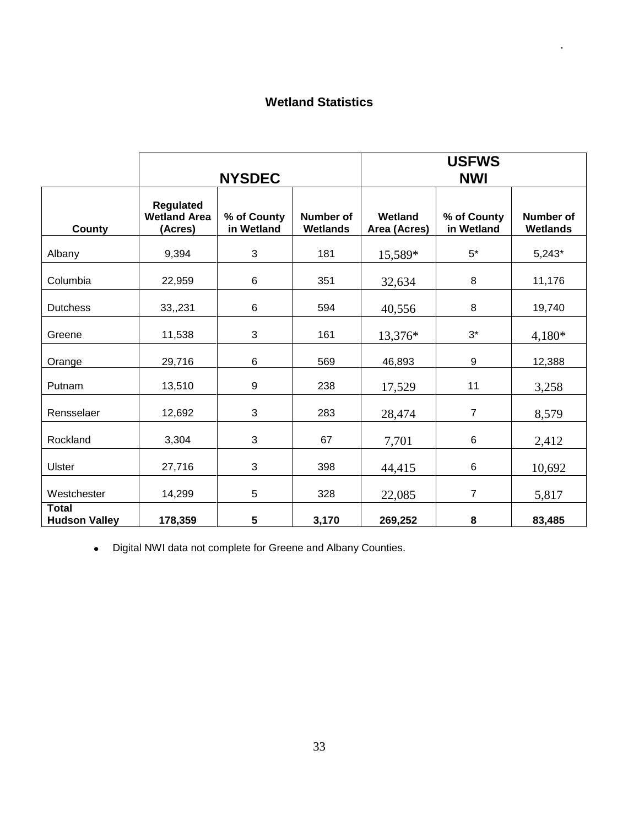### **Wetland Statistics**

.

|                                      | <b>NYSDEC</b>                                      |                           |                                     | <b>USFWS</b><br><b>NWI</b> |                           |                                     |  |
|--------------------------------------|----------------------------------------------------|---------------------------|-------------------------------------|----------------------------|---------------------------|-------------------------------------|--|
| County                               | <b>Regulated</b><br><b>Wetland Area</b><br>(Acres) | % of County<br>in Wetland | <b>Number of</b><br><b>Wetlands</b> | Wetland<br>Area (Acres)    | % of County<br>in Wetland | <b>Number of</b><br><b>Wetlands</b> |  |
| Albany                               | 9,394                                              | 3                         | 181                                 | 15,589*                    | $5*$                      | $5,243*$                            |  |
| Columbia                             | 22,959                                             | 6                         | 351                                 | 32,634                     | 8                         | 11,176                              |  |
| <b>Dutchess</b>                      | 33,,231                                            | 6                         | 594                                 | 40,556                     | $\,8\,$                   | 19,740                              |  |
| Greene                               | 11,538                                             | 3                         | 161                                 | 13,376*                    | $3^*$                     | $4,180*$                            |  |
| Orange                               | 29,716                                             | 6                         | 569                                 | 46,893                     | 9                         | 12,388                              |  |
| Putnam                               | 13,510                                             | 9                         | 238                                 | 17,529                     | 11                        | 3,258                               |  |
| Rensselaer                           | 12,692                                             | 3                         | 283                                 | 28,474                     | $\overline{7}$            | 8,579                               |  |
| Rockland                             | 3,304                                              | 3                         | 67                                  | 7,701                      | 6                         | 2,412                               |  |
| <b>Ulster</b>                        | 27,716                                             | 3                         | 398                                 | 44,415                     | 6                         | 10,692                              |  |
| Westchester                          | 14,299                                             | 5                         | 328                                 | 22,085                     | $\overline{7}$            | 5,817                               |  |
| <b>Total</b><br><b>Hudson Valley</b> | 178,359                                            | 5                         | 3,170                               | 269,252                    | 8                         | 83,485                              |  |

Digital NWI data not complete for Greene and Albany Counties.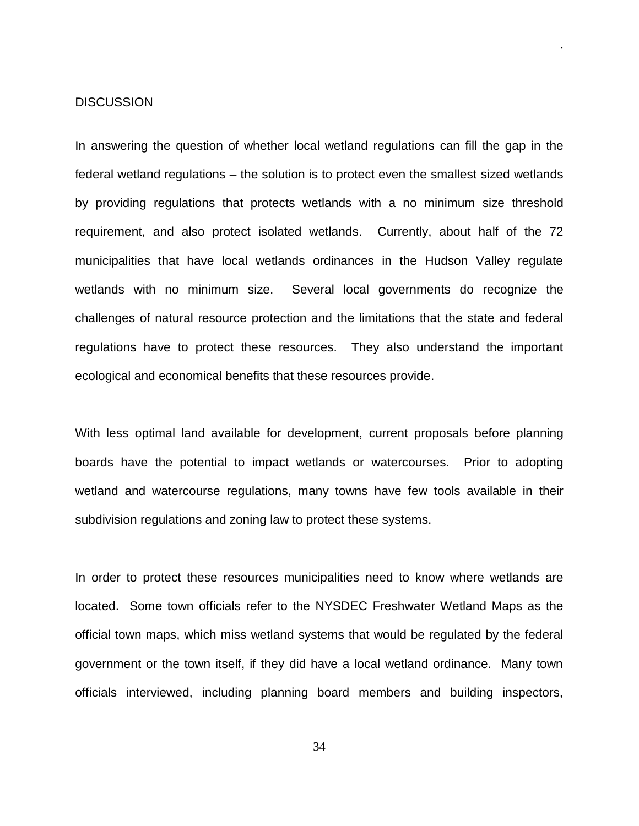#### **DISCUSSION**

In answering the question of whether local wetland regulations can fill the gap in the federal wetland regulations – the solution is to protect even the smallest sized wetlands by providing regulations that protects wetlands with a no minimum size threshold requirement, and also protect isolated wetlands. Currently, about half of the 72 municipalities that have local wetlands ordinances in the Hudson Valley regulate wetlands with no minimum size. Several local governments do recognize the challenges of natural resource protection and the limitations that the state and federal regulations have to protect these resources. They also understand the important ecological and economical benefits that these resources provide.

.

With less optimal land available for development, current proposals before planning boards have the potential to impact wetlands or watercourses. Prior to adopting wetland and watercourse regulations, many towns have few tools available in their subdivision regulations and zoning law to protect these systems.

In order to protect these resources municipalities need to know where wetlands are located. Some town officials refer to the NYSDEC Freshwater Wetland Maps as the official town maps, which miss wetland systems that would be regulated by the federal government or the town itself, if they did have a local wetland ordinance. Many town officials interviewed, including planning board members and building inspectors,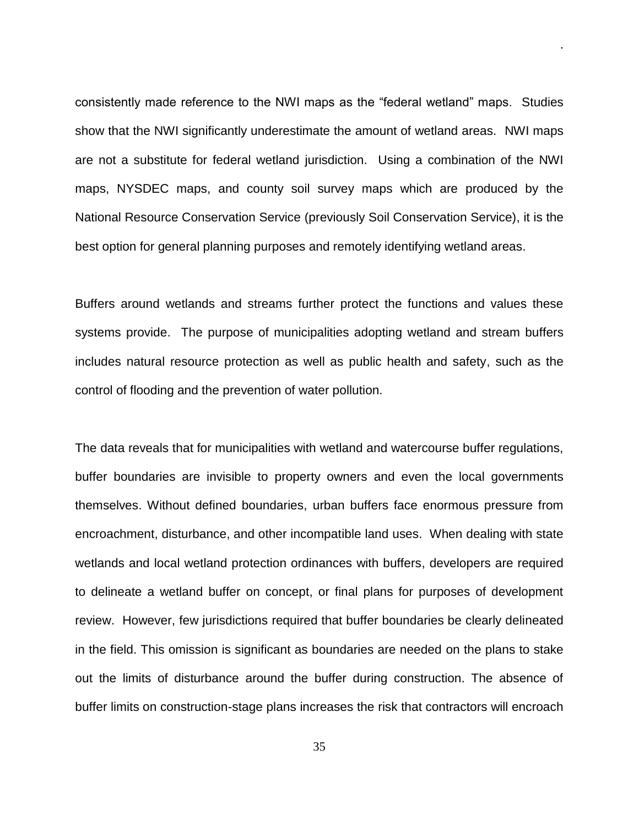consistently made reference to the NWI maps as the "federal wetland" maps. Studies show that the NWI significantly underestimate the amount of wetland areas. NWI maps are not a substitute for federal wetland jurisdiction. Using a combination of the NWI maps, NYSDEC maps, and county soil survey maps which are produced by the National Resource Conservation Service (previously Soil Conservation Service), it is the best option for general planning purposes and remotely identifying wetland areas.

.

Buffers around wetlands and streams further protect the functions and values these systems provide. The purpose of municipalities adopting wetland and stream buffers includes natural resource protection as well as public health and safety, such as the control of flooding and the prevention of water pollution.

The data reveals that for municipalities with wetland and watercourse buffer regulations, buffer boundaries are invisible to property owners and even the local governments themselves. Without defined boundaries, urban buffers face enormous pressure from encroachment, disturbance, and other incompatible land uses. When dealing with state wetlands and local wetland protection ordinances with buffers, developers are required to delineate a wetland buffer on concept, or final plans for purposes of development review. However, few jurisdictions required that buffer boundaries be clearly delineated in the field. This omission is significant as boundaries are needed on the plans to stake out the limits of disturbance around the buffer during construction. The absence of buffer limits on construction-stage plans increases the risk that contractors will encroach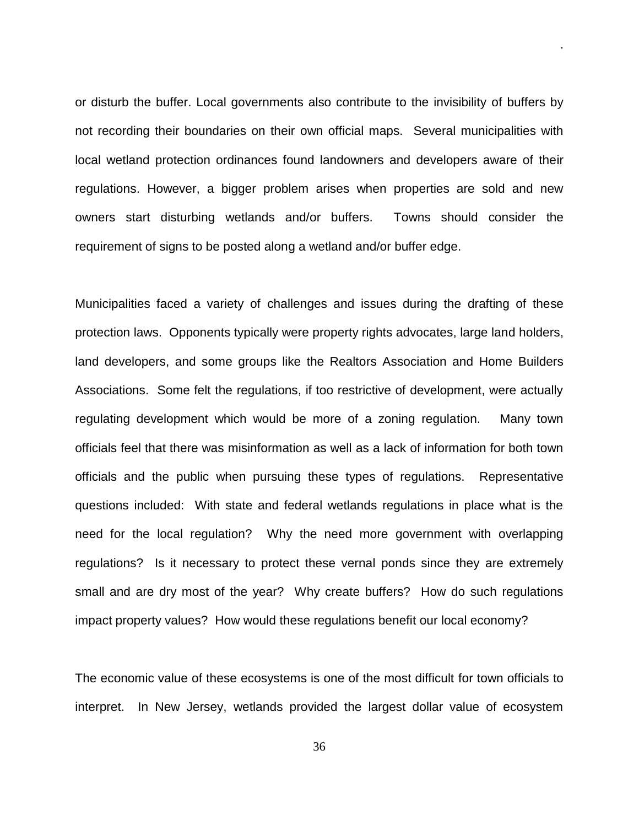or disturb the buffer. Local governments also contribute to the invisibility of buffers by not recording their boundaries on their own official maps. Several municipalities with local wetland protection ordinances found landowners and developers aware of their regulations. However, a bigger problem arises when properties are sold and new owners start disturbing wetlands and/or buffers. Towns should consider the requirement of signs to be posted along a wetland and/or buffer edge.

.

Municipalities faced a variety of challenges and issues during the drafting of these protection laws. Opponents typically were property rights advocates, large land holders, land developers, and some groups like the Realtors Association and Home Builders Associations. Some felt the regulations, if too restrictive of development, were actually regulating development which would be more of a zoning regulation. Many town officials feel that there was misinformation as well as a lack of information for both town officials and the public when pursuing these types of regulations. Representative questions included: With state and federal wetlands regulations in place what is the need for the local regulation? Why the need more government with overlapping regulations? Is it necessary to protect these vernal ponds since they are extremely small and are dry most of the year? Why create buffers? How do such regulations impact property values? How would these regulations benefit our local economy?

The economic value of these ecosystems is one of the most difficult for town officials to interpret. In New Jersey, wetlands provided the largest dollar value of ecosystem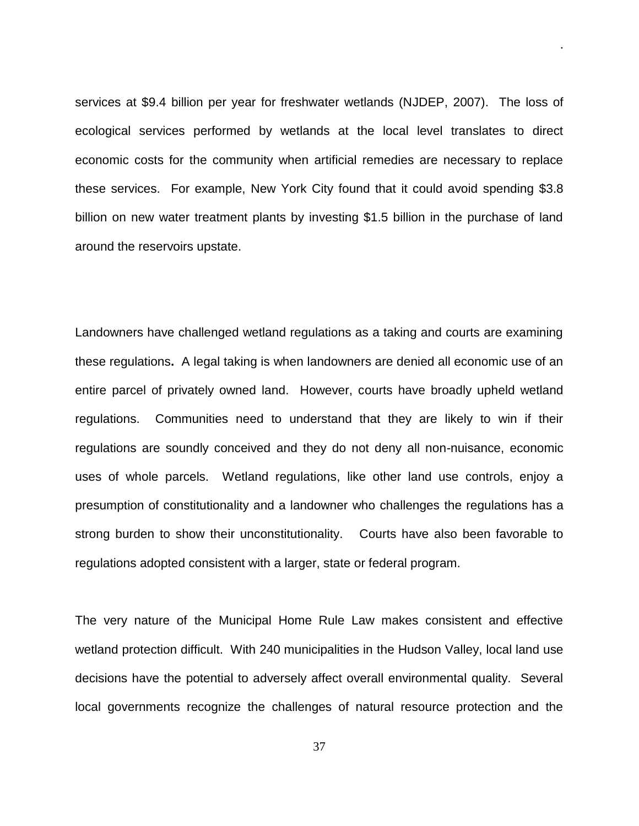services at \$9.4 billion per year for freshwater wetlands (NJDEP, 2007). The loss of ecological services performed by wetlands at the local level translates to direct economic costs for the community when artificial remedies are necessary to replace these services. For example, New York City found that it could avoid spending \$3.8 billion on new water treatment plants by investing \$1.5 billion in the purchase of land around the reservoirs upstate.

.

Landowners have challenged wetland regulations as a taking and courts are examining these regulations**.** A legal taking is when landowners are denied all economic use of an entire parcel of privately owned land. However, courts have broadly upheld wetland regulations. Communities need to understand that they are likely to win if their regulations are soundly conceived and they do not deny all non-nuisance, economic uses of whole parcels. Wetland regulations, like other land use controls, enjoy a presumption of constitutionality and a landowner who challenges the regulations has a strong burden to show their unconstitutionality. Courts have also been favorable to regulations adopted consistent with a larger, state or federal program.

The very nature of the Municipal Home Rule Law makes consistent and effective wetland protection difficult. With 240 municipalities in the Hudson Valley, local land use decisions have the potential to adversely affect overall environmental quality. Several local governments recognize the challenges of natural resource protection and the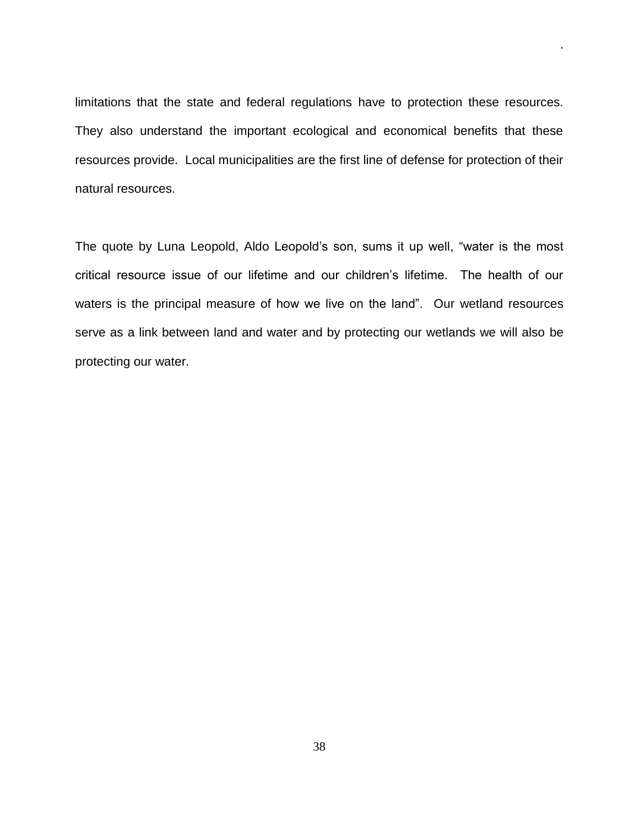limitations that the state and federal regulations have to protection these resources. They also understand the important ecological and economical benefits that these resources provide. Local municipalities are the first line of defense for protection of their natural resources.

.

The quote by Luna Leopold, Aldo Leopold's son, sums it up well, "water is the most critical resource issue of our lifetime and our children's lifetime. The health of our waters is the principal measure of how we live on the land". Our wetland resources serve as a link between land and water and by protecting our wetlands we will also be protecting our water.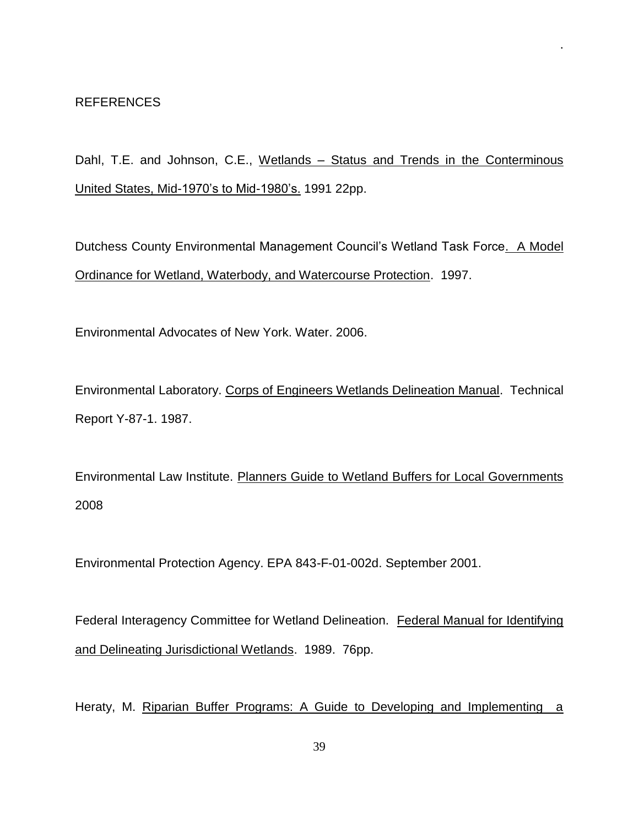Dahl, T.E. and Johnson, C.E., Wetlands - Status and Trends in the Conterminous United States, Mid-1970's to Mid-1980's. 1991 22pp.

.

Dutchess County Environmental Management Council's Wetland Task Force. A Model Ordinance for Wetland, Waterbody, and Watercourse Protection. 1997.

Environmental Advocates of New York. Water. 2006.

Environmental Laboratory. Corps of Engineers Wetlands Delineation Manual. Technical Report Y-87-1. 1987.

Environmental Law Institute. Planners Guide to Wetland Buffers for Local Governments 2008

Environmental Protection Agency. EPA 843-F-01-002d. September 2001.

Federal Interagency Committee for Wetland Delineation. Federal Manual for Identifying and Delineating Jurisdictional Wetlands. 1989. 76pp.

Heraty, M. Riparian Buffer Programs: A Guide to Developing and Implementing a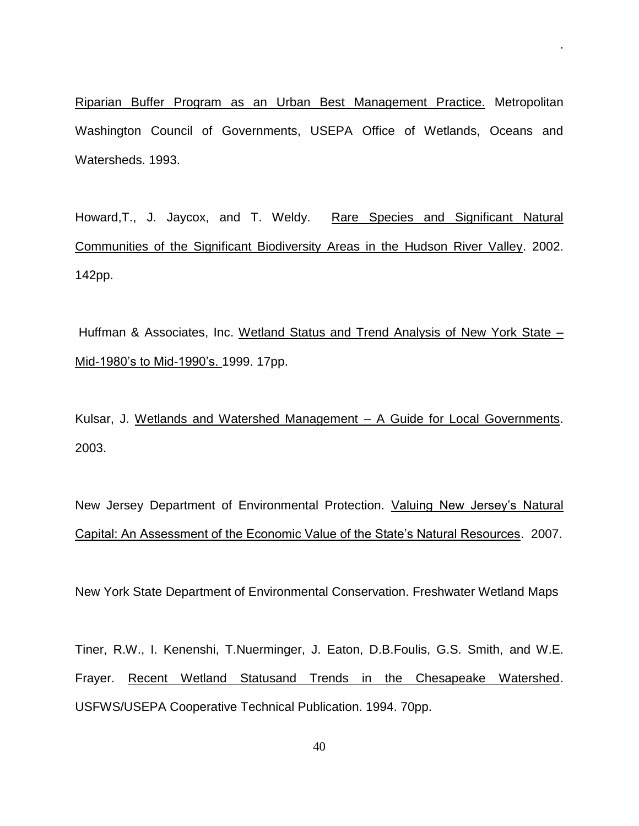Riparian Buffer Program as an Urban Best Management Practice. Metropolitan Washington Council of Governments, USEPA Office of Wetlands, Oceans and Watersheds. 1993.

.

Howard,T., J. Jaycox, and T. Weldy. Rare Species and Significant Natural Communities of the Significant Biodiversity Areas in the Hudson River Valley. 2002. 142pp.

Huffman & Associates, Inc. Wetland Status and Trend Analysis of New York State – Mid-1980's to Mid-1990's. 1999. 17pp.

Kulsar, J. Wetlands and Watershed Management – A Guide for Local Governments. 2003.

New Jersey Department of Environmental Protection. Valuing New Jersey's Natural Capital: An Assessment of the Economic Value of the State's Natural Resources. 2007.

New York State Department of Environmental Conservation. Freshwater Wetland Maps

Tiner, R.W., I. Kenenshi, T.Nuerminger, J. Eaton, D.B.Foulis, G.S. Smith, and W.E. Frayer. Recent Wetland Statusand Trends in the Chesapeake Watershed. USFWS/USEPA Cooperative Technical Publication. 1994. 70pp.